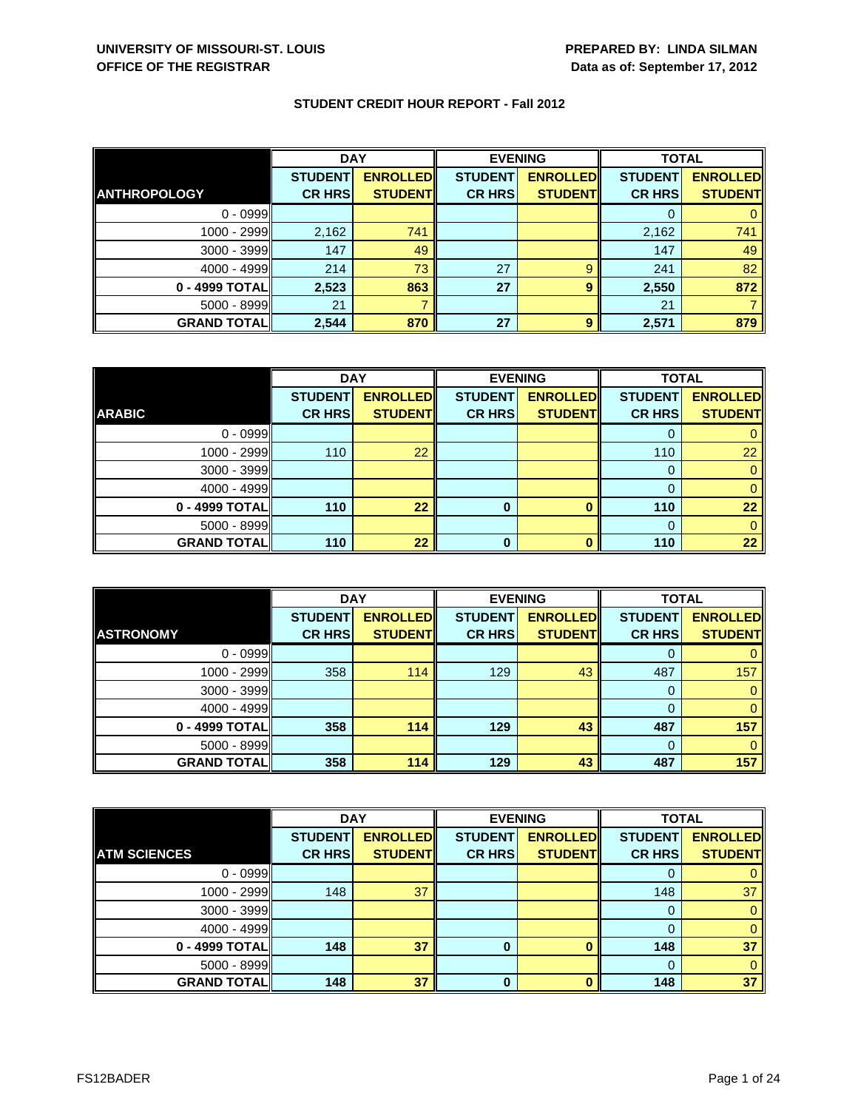|                     | <b>DAY</b>     |                 | <b>EVENING</b> |                 | <b>TOTAL</b>   |                 |
|---------------------|----------------|-----------------|----------------|-----------------|----------------|-----------------|
|                     | <b>STUDENT</b> | <b>ENROLLED</b> | <b>STUDENT</b> | <b>ENROLLED</b> | <b>STUDENT</b> | <b>ENROLLED</b> |
| <b>ANTHROPOLOGY</b> | <b>CR HRS</b>  | <b>STUDENT</b>  | <b>CR HRS</b>  | <b>STUDENT</b>  | <b>CR HRS</b>  | <b>STUDENT</b>  |
| $0 - 0999$          |                |                 |                |                 |                |                 |
| 1000 - 2999         | 2,162          | 741             |                |                 | 2,162          | 741             |
| $3000 - 3999$       | 147            | 49              |                |                 | 147            | 49              |
| $4000 - 4999$       | 214            | 73              | 27             | 9               | 241            | 82              |
| 0 - 4999 TOTAL      | 2,523          | 863             | 27             | 9               | 2,550          | 872             |
| $5000 - 8999$       | 21             |                 |                |                 | 21             |                 |
| <b>GRAND TOTAL</b>  | 2,544          | 870             | 27             | 9               | 2,571          | 879             |

|                    | <b>DAY</b>     |                 | <b>EVENING</b> |                 | <b>TOTAL</b>   |                 |
|--------------------|----------------|-----------------|----------------|-----------------|----------------|-----------------|
|                    | <b>STUDENT</b> | <b>ENROLLED</b> | <b>STUDENT</b> | <b>ENROLLED</b> | <b>STUDENT</b> | <b>ENROLLED</b> |
| <b>ARABIC</b>      | <b>CR HRS</b>  | <b>STUDENT</b>  | <b>CR HRS</b>  | <b>STUDENT</b>  | <b>CR HRS</b>  | <b>STUDENT</b>  |
| $0 - 0999$         |                |                 |                |                 |                |                 |
| 1000 - 2999        | 110            | 22              |                |                 | 110            | 22              |
| $3000 - 3999$      |                |                 |                |                 | 0              |                 |
| $4000 - 4999$      |                |                 |                |                 |                |                 |
| 0 - 4999 TOTAL     | 110            | 22              | $\bf{0}$       | $\Omega$        | 110            | 22              |
| 5000 - 8999        |                |                 |                |                 | $\Omega$       |                 |
| <b>GRAND TOTAL</b> | 110            | 22              | 0              |                 | 110            | 22              |

|                    | <b>DAY</b>     |                 | <b>EVENING</b> |                 | <b>TOTAL</b>   |                 |
|--------------------|----------------|-----------------|----------------|-----------------|----------------|-----------------|
|                    | <b>STUDENT</b> | <b>ENROLLED</b> | <b>STUDENT</b> | <b>ENROLLED</b> | <b>STUDENT</b> | <b>ENROLLED</b> |
| <b>ASTRONOMY</b>   | <b>CR HRS</b>  | <b>STUDENT</b>  | <b>CR HRS</b>  | <b>STUDENT</b>  | <b>CR HRS</b>  | <b>STUDENT</b>  |
| $0 - 0999$         |                |                 |                |                 |                |                 |
| $1000 - 2999$      | 358            | 114             | 129            | 43              | 487            | 157             |
| $3000 - 3999$      |                |                 |                |                 |                |                 |
| $4000 - 4999$      |                |                 |                |                 |                |                 |
| 0 - 4999 TOTAL     | 358            | 114             | 129            | 43              | 487            | 157             |
| $5000 - 8999$      |                |                 |                |                 | $\Omega$       |                 |
| <b>GRAND TOTAL</b> | 358            | 114             | 129            | 43              | 487            | 157             |

|                     | <b>DAY</b>     |                 | <b>EVENING</b> |                 | <b>TOTAL</b>   |                 |
|---------------------|----------------|-----------------|----------------|-----------------|----------------|-----------------|
|                     | <b>STUDENT</b> | <b>ENROLLED</b> | <b>STUDENT</b> | <b>ENROLLED</b> | <b>STUDENT</b> | <b>ENROLLED</b> |
| <b>ATM SCIENCES</b> | <b>CR HRS</b>  | <b>STUDENT</b>  | <b>CR HRS</b>  | <b>STUDENT</b>  | <b>CR HRS</b>  | <b>STUDENT</b>  |
| $0 - 0999$          |                |                 |                |                 |                |                 |
| 1000 - 2999         | 148            | 37              |                |                 | 148            | 37              |
| 3000 - 3999         |                |                 |                |                 |                |                 |
| 4000 - 4999         |                |                 |                |                 |                |                 |
| 0 - 4999 TOTAL      | 148            | 37              | 0              |                 | 148            | 37              |
| 5000 - 8999         |                |                 |                |                 |                |                 |
| <b>GRAND TOTAL</b>  | 148            | 37              | 0              |                 | 148            | 37              |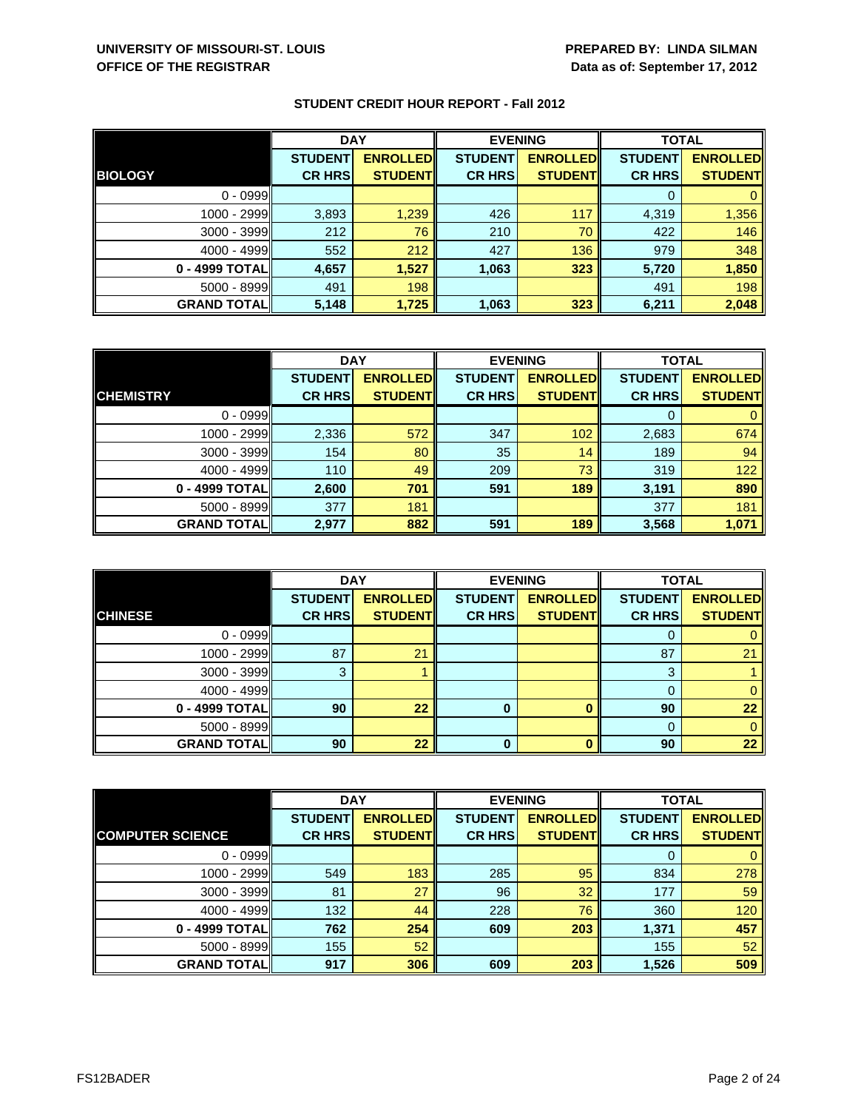|                    | <b>DAY</b>     |                 | <b>EVENING</b> |                 | <b>TOTAL</b>   |                 |
|--------------------|----------------|-----------------|----------------|-----------------|----------------|-----------------|
|                    | <b>STUDENT</b> | <b>ENROLLED</b> | <b>STUDENT</b> | <b>ENROLLED</b> | <b>STUDENT</b> | <b>ENROLLED</b> |
| <b>BIOLOGY</b>     | <b>CR HRS</b>  | <b>STUDENT</b>  | <b>CR HRS</b>  | <b>STUDENT</b>  | <b>CR HRS</b>  | <b>STUDENT</b>  |
| $0 - 0999$         |                |                 |                |                 |                |                 |
| 1000 - 2999        | 3,893          | 1,239           | 426            | 117             | 4,319          | 1,356           |
| $3000 - 3999$      | 212            | 76              | 210            | 70              | 422            | 146             |
| $4000 - 4999$      | 552            | 212             | 427            | 136             | 979            | 348             |
| 0 - 4999 TOTAL     | 4,657          | 1,527           | 1,063          | 323             | 5,720          | 1,850           |
| 5000 - 8999        | 491            | 198             |                |                 | 491            | 198             |
| <b>GRAND TOTAL</b> | 5,148          | 1,725           | 1,063          | 323             | 6,211          | 2,048           |

|                    | <b>DAY</b>     |                 | <b>EVENING</b> |                 | <b>TOTAL</b>   |                 |
|--------------------|----------------|-----------------|----------------|-----------------|----------------|-----------------|
|                    | <b>STUDENT</b> | <b>ENROLLED</b> | <b>STUDENT</b> | <b>ENROLLED</b> | <b>STUDENT</b> | <b>ENROLLED</b> |
| <b>CHEMISTRY</b>   | <b>CR HRS</b>  | <b>STUDENT</b>  | <b>CR HRS</b>  | <b>STUDENT</b>  | <b>CR HRS</b>  | <b>STUDENT</b>  |
| $0 - 0999$         |                |                 |                |                 | 0              | 0               |
| 1000 - 2999        | 2,336          | 572             | 347            | 102             | 2,683          | 674             |
| $3000 - 3999$      | 154            | 80              | 35             | 14              | 189            | 94              |
| $4000 - 4999$      | 110            | 49              | 209            | 73              | 319            | 122             |
| 0 - 4999 TOTAL     | 2,600          | 701             | 591            | 189             | 3,191          | 890             |
| $5000 - 8999$      | 377            | 181             |                |                 | 377            | 181             |
| <b>GRAND TOTAL</b> | 2,977          | 882             | 591            | 189             | 3,568          | 1,071           |

|                     | <b>DAY</b>     |                 |                | <b>EVENING</b>  | <b>TOTAL</b>   |                 |
|---------------------|----------------|-----------------|----------------|-----------------|----------------|-----------------|
|                     | <b>STUDENT</b> | <b>ENROLLED</b> | <b>STUDENT</b> | <b>ENROLLED</b> | <b>STUDENT</b> | <b>ENROLLED</b> |
| <b>CHINESE</b>      | <b>CR HRS</b>  | <b>STUDENT</b>  | <b>CR HRS</b>  | <b>STUDENT</b>  | <b>CR HRS</b>  | <b>STUDENT</b>  |
| $0 - 0999$          |                |                 |                |                 | O              |                 |
| $1000 - 2999$       | 87             | 21              |                |                 | 87             | 21              |
| $3000 - 3999$       | 3              |                 |                |                 | 3              |                 |
| $4000 - 4999$       |                |                 |                |                 | 0              |                 |
| 0 - 4999 TOTAL      | 90             | 22              | 0              |                 | 90             | 22              |
| $5000 - 8999$       |                |                 |                |                 | $\Omega$       |                 |
| <b>GRAND TOTALI</b> | 90             | 22              | 0              |                 | 90             | 22              |

|                         | <b>DAY</b>     |                 | <b>EVENING</b> |                 | <b>TOTAL</b>   |                 |
|-------------------------|----------------|-----------------|----------------|-----------------|----------------|-----------------|
|                         | <b>STUDENT</b> | <b>ENROLLED</b> | <b>STUDENT</b> | <b>ENROLLED</b> | <b>STUDENT</b> | <b>ENROLLED</b> |
| <b>COMPUTER SCIENCE</b> | <b>CR HRS</b>  | <b>STUDENT</b>  | <b>CR HRS</b>  | <b>STUDENT</b>  | <b>CR HRS</b>  | <b>STUDENT</b>  |
| $0 - 0999$              |                |                 |                |                 | O              | 0               |
| 1000 - 2999             | 549            | 183             | 285            | 95              | 834            | 278             |
| $3000 - 3999$           | 81             | 27              | 96             | 32              | 177            | 59              |
| $4000 - 4999$           | 132            | 44              | 228            | 76              | 360            | 120             |
| 0 - 4999 TOTAL          | 762            | 254             | 609            | 203             | 1,371          | 457             |
| $5000 - 8999$           | 155            | 52              |                |                 | 155            | 52              |
| <b>GRAND TOTAL</b>      | 917            | 306             | 609            | 203             | 1,526          | 509             |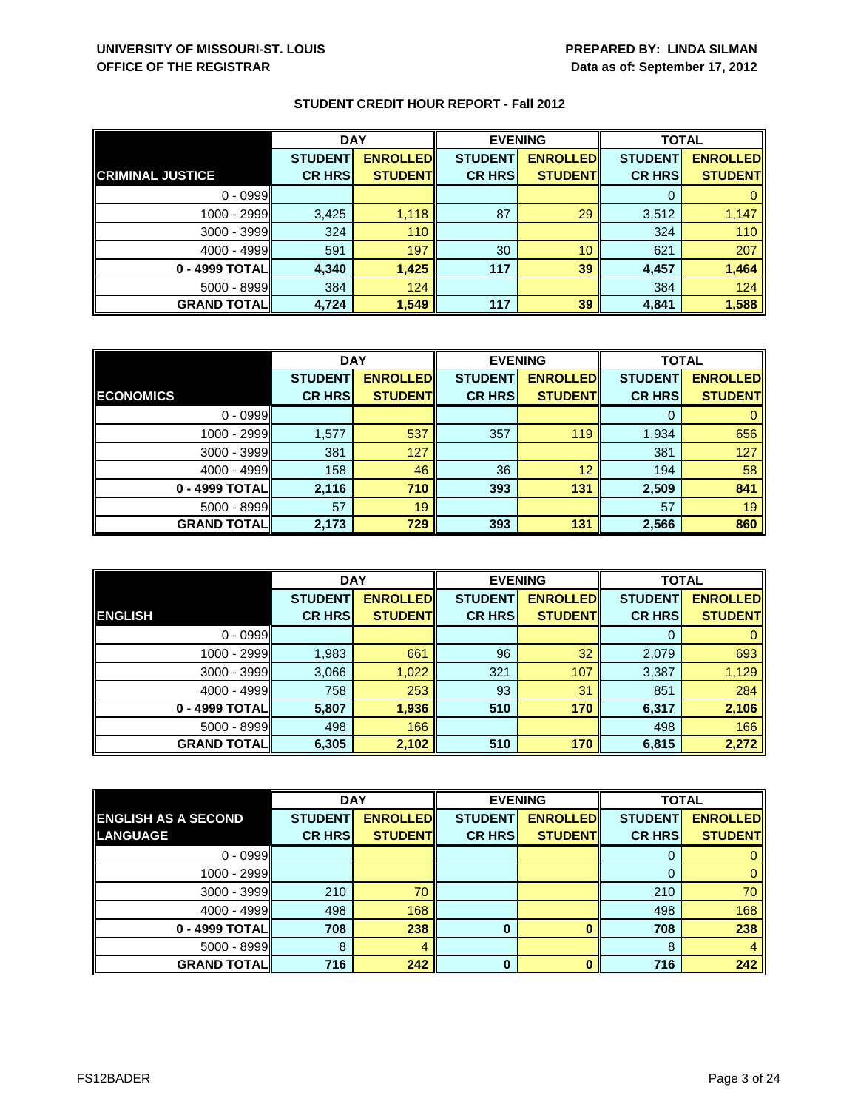|                         | <b>DAY</b>     |                 | <b>EVENING</b> |                 | <b>TOTAL</b>   |                 |
|-------------------------|----------------|-----------------|----------------|-----------------|----------------|-----------------|
|                         | <b>STUDENT</b> | <b>ENROLLED</b> | <b>STUDENT</b> | <b>ENROLLED</b> | <b>STUDENT</b> | <b>ENROLLED</b> |
| <b>CRIMINAL JUSTICE</b> | <b>CR HRS</b>  | <b>STUDENT</b>  | <b>CR HRS</b>  | <b>STUDENT</b>  | <b>CR HRS</b>  | <b>STUDENT</b>  |
| $0 - 0999$              |                |                 |                |                 |                |                 |
| $1000 - 2999$           | 3,425          | 1,118           | 87             | 29              | 3,512          | 1,147           |
| 3000 - 3999             | 324            | 110             |                |                 | 324            | 110             |
| $4000 - 4999$           | 591            | 197             | 30             | 10              | 621            | 207             |
| 0 - 4999 TOTAL          | 4,340          | 1,425           | 117            | 39              | 4,457          | 1,464           |
| $5000 - 8999$           | 384            | 124             |                |                 | 384            | 124             |
| <b>GRAND TOTAL</b>      | 4,724          | 1,549           | 117            | 39              | 4,841          | 1,588           |

|                    | <b>DAY</b>     |                 |                | <b>EVENING</b>   |                | <b>TOTAL</b>    |  |
|--------------------|----------------|-----------------|----------------|------------------|----------------|-----------------|--|
|                    | <b>STUDENT</b> | <b>ENROLLED</b> | <b>STUDENT</b> | <b>ENROLLEDI</b> | <b>STUDENT</b> | <b>ENROLLED</b> |  |
| <b>ECONOMICS</b>   | <b>CR HRS</b>  | <b>STUDENT</b>  | <b>CR HRS</b>  | <b>STUDENT</b>   | <b>CR HRS</b>  | <b>STUDENT</b>  |  |
| $0 - 0999$         |                |                 |                |                  |                |                 |  |
| 1000 - 2999        | 1,577          | 537             | 357            | 119              | 1,934          | 656             |  |
| $3000 - 3999$      | 381            | 127             |                |                  | 381            | 127             |  |
| $4000 - 4999$      | 158            | 46              | 36             | 12               | 194            | 58              |  |
| 0 - 4999 TOTAL     | 2,116          | 710             | 393            | 131              | 2,509          | 841             |  |
| $5000 - 8999$      | 57             | 19              |                |                  | 57             | 19              |  |
| <b>GRAND TOTAL</b> | 2,173          | 729             | 393            | 131              | 2,566          | 860             |  |

|                     | <b>DAY</b>     |                 |                | <b>EVENING</b>  | <b>TOTAL</b>   |                 |
|---------------------|----------------|-----------------|----------------|-----------------|----------------|-----------------|
|                     | <b>STUDENT</b> | <b>ENROLLED</b> | <b>STUDENT</b> | <b>ENROLLED</b> | <b>STUDENT</b> | <b>ENROLLED</b> |
| <b>ENGLISH</b>      | <b>CR HRS</b>  | <b>STUDENT</b>  | <b>CR HRS</b>  | <b>STUDENT</b>  | <b>CR HRS</b>  | <b>STUDENT</b>  |
| $0 - 0999$          |                |                 |                |                 | 0              | $\mathbf{0}$    |
| 1000 - 2999         | 1,983          | 661             | 96             | 32              | 2,079          | 693             |
| $3000 - 3999$       | 3,066          | 1,022           | 321            | 107             | 3,387          | 1,129           |
| $4000 - 4999$       | 758            | 253             | 93             | 31              | 851            | 284             |
| 0 - 4999 TOTAL      | 5,807          | 1,936           | 510            | 170             | 6,317          | 2,106           |
| $5000 - 8999$       | 498            | 166             |                |                 | 498            | 166             |
| <b>GRAND TOTALI</b> | 6,305          | 2,102           | 510            | 170             | 6,815          | 2,272           |

|                            | <b>DAY</b>     |                 |                | <b>EVENING</b>  | <b>TOTAL</b>   |                 |
|----------------------------|----------------|-----------------|----------------|-----------------|----------------|-----------------|
| <b>ENGLISH AS A SECOND</b> | <b>STUDENT</b> | <b>ENROLLED</b> | <b>STUDENT</b> | <b>ENROLLED</b> | <b>STUDENT</b> | <b>ENROLLED</b> |
| <b>LANGUAGE</b>            | <b>CR HRS</b>  | <b>STUDENT</b>  | <b>CR HRS</b>  | <b>STUDENT</b>  | <b>CR HRS</b>  | <b>STUDENT</b>  |
| $0 - 0999$                 |                |                 |                |                 | O              |                 |
| 1000 - 2999                |                |                 |                |                 | 0              | 0               |
| $3000 - 3999$              | 210            | 70              |                |                 | 210            | 70              |
| $4000 - 4999$              | 498            | 168             |                |                 | 498            | 168             |
| 0 - 4999 TOTAL             | 708            | 238             | 0              |                 | 708            | 238             |
| $5000 - 8999$              | 8              | 4               |                |                 | 8              | $\overline{4}$  |
| <b>GRAND TOTAL</b>         | 716            | 242             | O              |                 | 716            | 242             |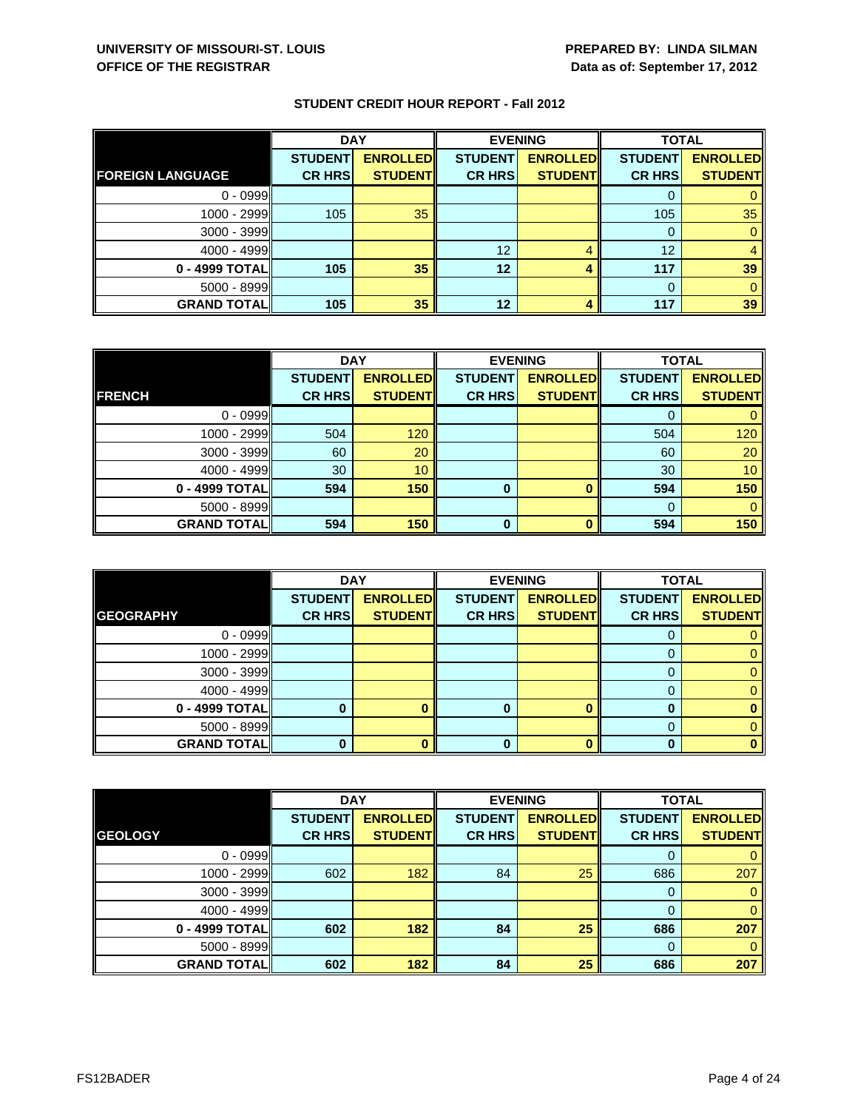|                         | <b>DAY</b>     |                 | <b>EVENING</b> |                 | <b>TOTAL</b>   |                 |
|-------------------------|----------------|-----------------|----------------|-----------------|----------------|-----------------|
|                         | <b>STUDENT</b> | <b>ENROLLED</b> | <b>STUDENT</b> | <b>ENROLLED</b> | <b>STUDENT</b> | <b>ENROLLED</b> |
| <b>FOREIGN LANGUAGE</b> | <b>CR HRS</b>  | <b>STUDENT</b>  | <b>CR HRS</b>  | <b>STUDENT</b>  | <b>CR HRS</b>  | <b>STUDENT</b>  |
| $0 - 0999$              |                |                 |                |                 |                |                 |
| 1000 - 2999             | 105            | 35              |                |                 | 105            | 35              |
| 3000 - 3999             |                |                 |                |                 | 0              |                 |
| $4000 - 4999$           |                |                 | 12             |                 | 12             |                 |
| 0 - 4999 TOTAL          | 105            | 35              | 12             | 4               | 117            | 39              |
| $5000 - 8999$           |                |                 |                |                 | $\Omega$       |                 |
| <b>GRAND TOTAL</b>      | 105            | 35              | 12             |                 | 117            | 39              |

|                    | <b>DAY</b>     |                 | <b>EVENING</b> |                 | <b>TOTAL</b>   |                 |
|--------------------|----------------|-----------------|----------------|-----------------|----------------|-----------------|
|                    | <b>STUDENT</b> | <b>ENROLLED</b> | <b>STUDENT</b> | <b>ENROLLED</b> | <b>STUDENT</b> | <b>ENROLLED</b> |
| <b>FRENCH</b>      | <b>CR HRS</b>  | <b>STUDENT</b>  | <b>CR HRS</b>  | <b>STUDENT</b>  | <b>CR HRS</b>  | <b>STUDENT</b>  |
| $0 - 0999$         |                |                 |                |                 |                |                 |
| 1000 - 2999        | 504            | 120             |                |                 | 504            | 120             |
| $3000 - 3999$      | 60             | 20              |                |                 | 60             | 20              |
| $4000 - 4999$      | 30             | 10              |                |                 | 30             | 10 <sup>°</sup> |
| 0 - 4999 TOTAL     | 594            | 150             | 0              |                 | 594            | 150             |
| $5000 - 8999$      |                |                 |                |                 | 0              | 0               |
| <b>GRAND TOTAL</b> | 594            | 150             | $\bf{0}$       |                 | 594            | 150             |

|                    | <b>DAY</b>     |                 |                | <b>EVENING</b>  | <b>TOTAL</b>   |                 |
|--------------------|----------------|-----------------|----------------|-----------------|----------------|-----------------|
|                    | <b>STUDENT</b> | <b>ENROLLED</b> | <b>STUDENT</b> | <b>ENROLLED</b> | <b>STUDENT</b> | <b>ENROLLED</b> |
| <b>GEOGRAPHY</b>   | <b>CR HRS</b>  | <b>STUDENT</b>  | <b>CR HRS</b>  | <b>STUDENT</b>  | <b>CR HRS</b>  | <b>STUDENT</b>  |
| $0 - 0999$         |                |                 |                |                 | O              |                 |
| $1000 - 2999$      |                |                 |                |                 |                |                 |
| $3000 - 3999$      |                |                 |                |                 |                |                 |
| $4000 - 4999$      |                |                 |                |                 | 0              |                 |
| 0 - 4999 TOTAL     |                |                 |                |                 |                |                 |
| $5000 - 8999$      |                |                 |                |                 |                |                 |
| <b>GRAND TOTAL</b> |                |                 | 0              |                 |                |                 |

|                    | <b>DAY</b>     |                 |                | <b>EVENING</b>  | <b>TOTAL</b>   |                 |
|--------------------|----------------|-----------------|----------------|-----------------|----------------|-----------------|
|                    | <b>STUDENT</b> | <b>ENROLLED</b> | <b>STUDENT</b> | <b>ENROLLED</b> | <b>STUDENT</b> | <b>ENROLLED</b> |
| <b>GEOLOGY</b>     | <b>CR HRS</b>  | <b>STUDENT</b>  | <b>CR HRS</b>  | <b>STUDENT</b>  | <b>CR HRS</b>  | <b>STUDENT</b>  |
| $0 - 0999$         |                |                 |                |                 | 0              | $\mathbf{0}$    |
| 1000 - 2999        | 602            | 182             | 84             | 25              | 686            | 207             |
| $3000 - 3999$      |                |                 |                |                 | 0              | $\mathbf{0}$    |
| $4000 - 4999$      |                |                 |                |                 | $\Omega$       | $\mathbf{0}$    |
| 0 - 4999 TOTAL     | 602            | 182             | 84             | 25              | 686            | 207             |
| $5000 - 8999$      |                |                 |                |                 | $\Omega$       | $\mathbf{0}$    |
| <b>GRAND TOTAL</b> | 602            | 182             | 84             | 25              | 686            | 207             |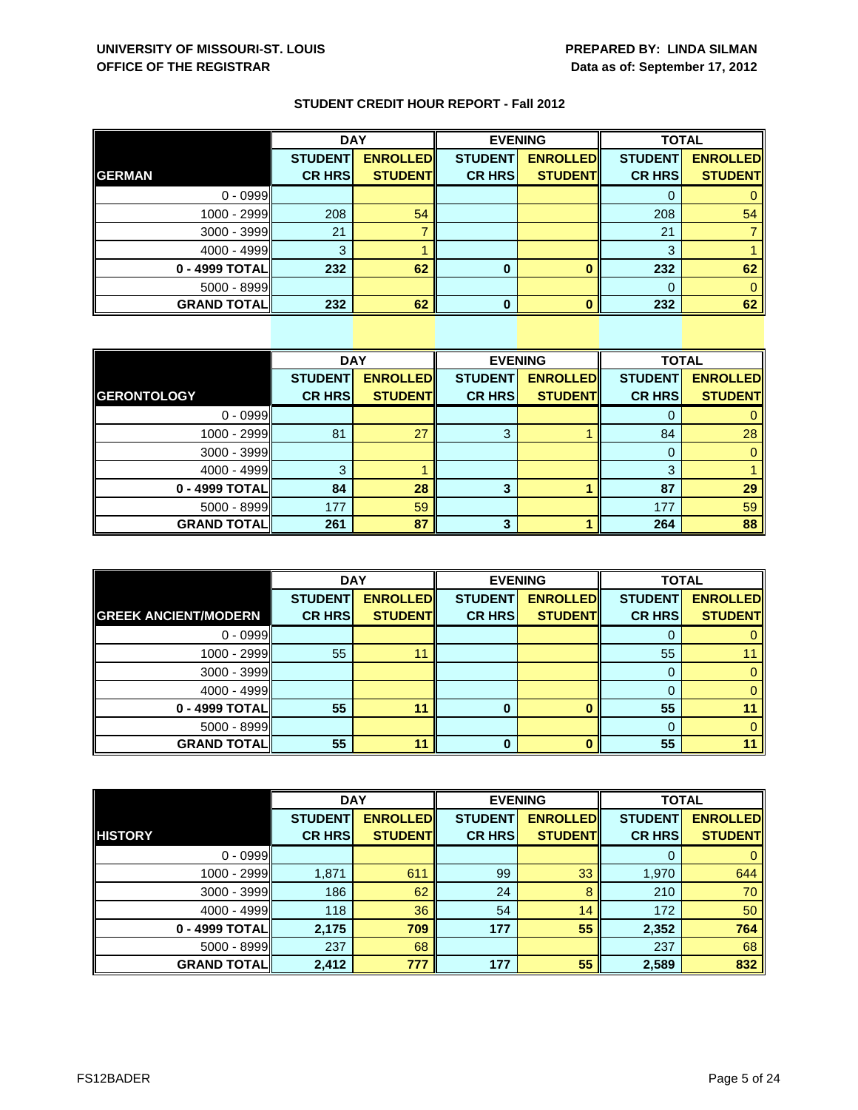|  |  |  |  | <b>STUDENT CREDIT HOUR REPORT - Fall 2012</b> |
|--|--|--|--|-----------------------------------------------|
|--|--|--|--|-----------------------------------------------|

|                    | <b>DAY</b>     |                 |                | <b>EVENING</b>  | <b>TOTAL</b>   |                 |
|--------------------|----------------|-----------------|----------------|-----------------|----------------|-----------------|
|                    | <b>STUDENT</b> | <b>ENROLLED</b> | <b>STUDENT</b> | <b>ENROLLED</b> | <b>STUDENT</b> | <b>ENROLLED</b> |
| <b>GERMAN</b>      | <b>CR HRS</b>  | <b>STUDENT</b>  | <b>CR HRS</b>  | <b>STUDENT</b>  | <b>CR HRS</b>  | <b>STUDENT</b>  |
| $0 - 0999$         |                |                 |                |                 | U              |                 |
| 1000 - 2999        | 208            | 54              |                |                 | 208            | 54              |
| 3000 - 3999        | 21             |                 |                |                 | 21             |                 |
| $4000 - 4999$      | 3              |                 |                |                 | 3              |                 |
| 0 - 4999 TOTAL     | 232            | 62              | 0              |                 | 232            | 62              |
| 5000 - 8999        |                |                 |                |                 | 0              |                 |
| <b>GRAND TOTAL</b> | 232            | 62              | n              |                 | 232            | 62              |

|                    | <b>DAY</b>     |                 |                | <b>EVENING</b>  | <b>TOTAL</b>   |                 |
|--------------------|----------------|-----------------|----------------|-----------------|----------------|-----------------|
|                    | <b>STUDENT</b> | <b>ENROLLED</b> | <b>STUDENT</b> | <b>ENROLLED</b> | <b>STUDENT</b> | <b>ENROLLED</b> |
| <b>GERONTOLOGY</b> | <b>CR HRS</b>  | <b>STUDENT</b>  | <b>CR HRS</b>  | <b>STUDENT</b>  | <b>CR HRS</b>  | <b>STUDENT</b>  |
| $0 - 0999$         |                |                 |                |                 |                | 0               |
| 1000 - 2999        | 81             | 27              | 3              |                 | 84             | 28              |
| $3000 - 3999$      |                |                 |                |                 | 0              | $\mathbf{0}$    |
| $4000 - 4999$      | З              |                 |                |                 | 3              |                 |
| 0 - 4999 TOTAL     | 84             | 28              | 3              |                 | 87             | 29              |
| $5000 - 8999$      | 177            | 59              |                |                 | 177            | 59              |
| <b>GRAND TOTAL</b> | 261            | 87              | 3              |                 | 264            | 88              |

|                             | <b>DAY</b>     |                 | <b>EVENING</b> |                 | <b>TOTAL</b>   |                 |
|-----------------------------|----------------|-----------------|----------------|-----------------|----------------|-----------------|
|                             | <b>STUDENT</b> | <b>ENROLLED</b> | <b>STUDENT</b> | <b>ENROLLED</b> | <b>STUDENT</b> | <b>ENROLLED</b> |
| <b>GREEK ANCIENT/MODERN</b> | <b>CR HRS</b>  | <b>STUDENT</b>  | <b>CR HRS</b>  | <b>STUDENT</b>  | <b>CR HRS</b>  | <b>STUDENT</b>  |
| $0 - 0999$                  |                |                 |                |                 |                |                 |
| 1000 - 2999                 | 55             | 11              |                |                 | 55             |                 |
| $3000 - 3999$               |                |                 |                |                 | 0              |                 |
| $4000 - 4999$               |                |                 |                |                 |                |                 |
| 0 - 4999 TOTAL              | 55             | 11              |                | n               | 55             |                 |
| $5000 - 8999$               |                |                 |                |                 | 0              |                 |
| <b>GRAND TOTAL</b>          | 55             | 11              | 0              |                 | 55             |                 |

|                     | <b>DAY</b>     |                 | <b>EVENING</b> |                 | <b>TOTAL</b>   |                 |
|---------------------|----------------|-----------------|----------------|-----------------|----------------|-----------------|
|                     | <b>STUDENT</b> | <b>ENROLLED</b> | <b>STUDENT</b> | <b>ENROLLED</b> | <b>STUDENT</b> | <b>ENROLLED</b> |
| <b>HISTORY</b>      | <b>CR HRS</b>  | <b>STUDENT</b>  | <b>CR HRS</b>  | <b>STUDENT</b>  | <b>CR HRS</b>  | <b>STUDENT</b>  |
| $0 - 0999$          |                |                 |                |                 | 0              | $\mathbf{0}$    |
| 1000 - 2999         | 1,871          | 611             | 99             | 33              | 1,970          | 644             |
| $3000 - 3999$       | 186            | 62              | 24             | 8               | 210            | 70              |
| $4000 - 4999$       | 118            | 36              | 54             | 14              | 172            | 50              |
| 0 - 4999 TOTAL      | 2,175          | 709             | 177            | 55              | 2,352          | 764             |
| $5000 - 8999$       | 237            | 68              |                |                 | 237            | 68              |
| <b>GRAND TOTALI</b> | 2,412          | 777             | 177            | 55              | 2,589          | 832             |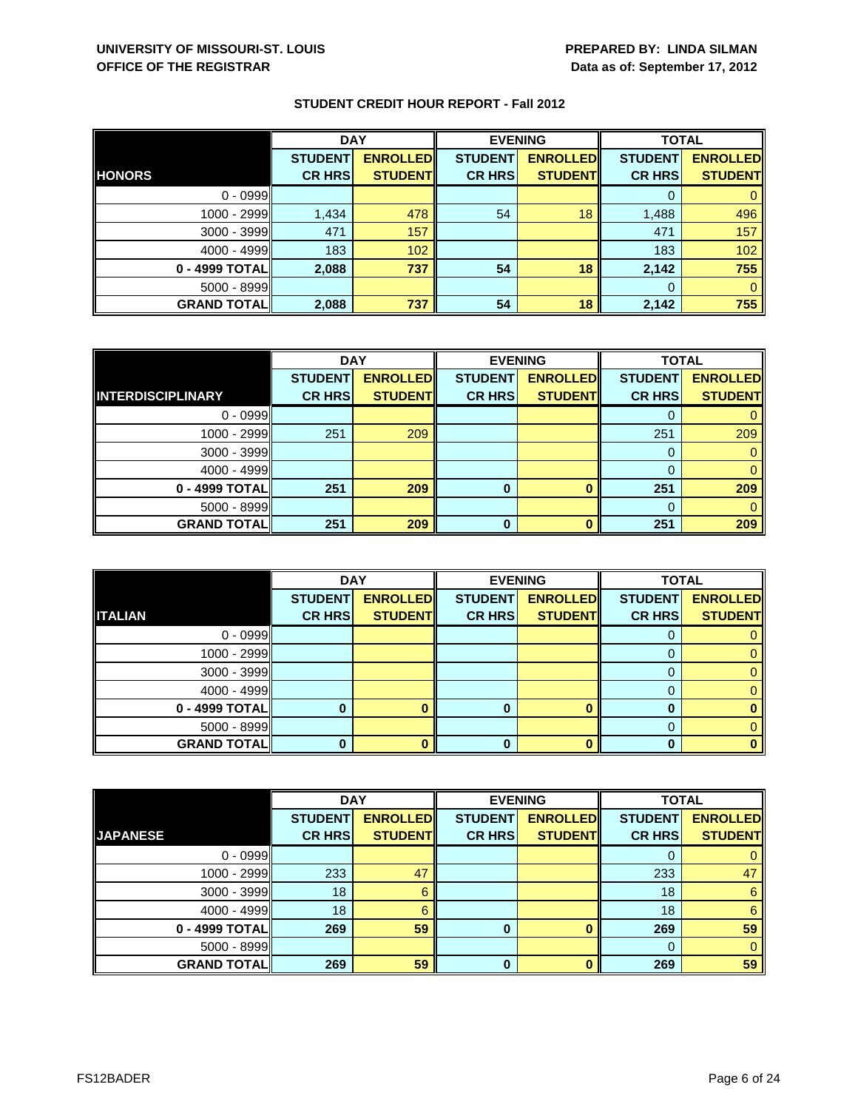|                    | <b>DAY</b>                      |                                   | <b>EVENING</b>                  |                                   | <b>TOTAL</b>                    |                                   |
|--------------------|---------------------------------|-----------------------------------|---------------------------------|-----------------------------------|---------------------------------|-----------------------------------|
| <b>HONORS</b>      | <b>STUDENT</b><br><b>CR HRS</b> | <b>ENROLLED</b><br><b>STUDENT</b> | <b>STUDENT</b><br><b>CR HRS</b> | <b>ENROLLED</b><br><b>STUDENT</b> | <b>STUDENT</b><br><b>CR HRS</b> | <b>ENROLLED</b><br><b>STUDENT</b> |
|                    |                                 |                                   |                                 |                                   |                                 |                                   |
| $0 - 0999$         |                                 |                                   |                                 |                                   |                                 |                                   |
| 1000 - 2999        | 1,434                           | 478                               | 54                              | 18                                | 1,488                           | 496                               |
| $3000 - 3999$      | 471                             | 157                               |                                 |                                   | 471                             | 157                               |
| $4000 - 4999$      | 183                             | 102                               |                                 |                                   | 183                             | 102                               |
| 0 - 4999 TOTAL     | 2,088                           | 737                               | 54                              | 18                                | 2,142                           | 755                               |
| $5000 - 8999$      |                                 |                                   |                                 |                                   | $\Omega$                        |                                   |
| <b>GRAND TOTAL</b> | 2,088                           | 737                               | 54                              | 18                                | 2,142                           | 755                               |

|                          | <b>DAY</b>     |                 | <b>EVENING</b> |                 | <b>TOTAL</b>   |                 |
|--------------------------|----------------|-----------------|----------------|-----------------|----------------|-----------------|
|                          | <b>STUDENT</b> | <b>ENROLLED</b> | <b>STUDENT</b> | <b>ENROLLED</b> | <b>STUDENT</b> | <b>ENROLLED</b> |
| <b>INTERDISCIPLINARY</b> | <b>CR HRS</b>  | <b>STUDENT</b>  | <b>CR HRS</b>  | <b>STUDENT</b>  | <b>CR HRS</b>  | <b>STUDENT</b>  |
| $0 - 0999$               |                |                 |                |                 |                |                 |
| 1000 - 2999              | 251            | 209             |                |                 | 251            | 209             |
| $3000 - 3999$            |                |                 |                |                 | 0              | $\mathbf{0}$    |
| 4000 - 4999              |                |                 |                |                 | 0              | $\mathbf{0}$    |
| 0 - 4999 TOTAL           | 251            | 209             | 0              |                 | 251            | 209             |
| $5000 - 8999$            |                |                 |                |                 | 0              | $\Omega$        |
| <b>GRAND TOTAL</b>       | 251            | 209             | $\Omega$       |                 | 251            | 209             |

|                    | <b>DAY</b>     |                 |                | <b>EVENING</b>  | <b>TOTAL</b>   |                 |
|--------------------|----------------|-----------------|----------------|-----------------|----------------|-----------------|
|                    | <b>STUDENT</b> | <b>ENROLLED</b> | <b>STUDENT</b> | <b>ENROLLED</b> | <b>STUDENT</b> | <b>ENROLLED</b> |
| <b>ITALIAN</b>     | <b>CR HRS</b>  | <b>STUDENT</b>  | <b>CR HRS</b>  | <b>STUDENT</b>  | <b>CR HRS</b>  | <b>STUDENT</b>  |
| $0 - 0999$         |                |                 |                |                 |                |                 |
| $1000 - 2999$      |                |                 |                |                 |                |                 |
| $3000 - 3999$      |                |                 |                |                 |                |                 |
| $4000 - 4999$      |                |                 |                |                 |                |                 |
| $0 - 4999$ TOTAL   |                |                 | 0              |                 |                |                 |
| $5000 - 8999$      |                |                 |                |                 |                |                 |
| <b>GRAND TOTAL</b> |                |                 | 0              |                 |                |                 |

|                    | <b>DAY</b>     |                 | <b>EVENING</b> |                 | <b>TOTAL</b>   |                 |
|--------------------|----------------|-----------------|----------------|-----------------|----------------|-----------------|
|                    | <b>STUDENT</b> | <b>ENROLLED</b> | <b>STUDENT</b> | <b>ENROLLED</b> | <b>STUDENT</b> | <b>ENROLLED</b> |
| <b>JAPANESE</b>    | <b>CR HRS</b>  | <b>STUDENT</b>  | <b>CR HRS</b>  | <b>STUDENT</b>  | <b>CR HRS</b>  | <b>STUDENT</b>  |
| $0 - 0999$         |                |                 |                |                 | O              | 0               |
| 1000 - 2999        | 233            | 47              |                |                 | 233            | 47              |
| $3000 - 3999$      | 18             | 6               |                |                 | 18             | 6               |
| $4000 - 4999$      | 18             | 6               |                |                 | 18             | 6               |
| 0 - 4999 TOTAL     | 269            | 59              | $\bf{0}$       |                 | 269            | 59              |
| $5000 - 8999$      |                |                 |                |                 | $\Omega$       | $\Omega$        |
| <b>GRAND TOTAL</b> | 269            | 59              | $\Omega$       |                 | 269            | 59              |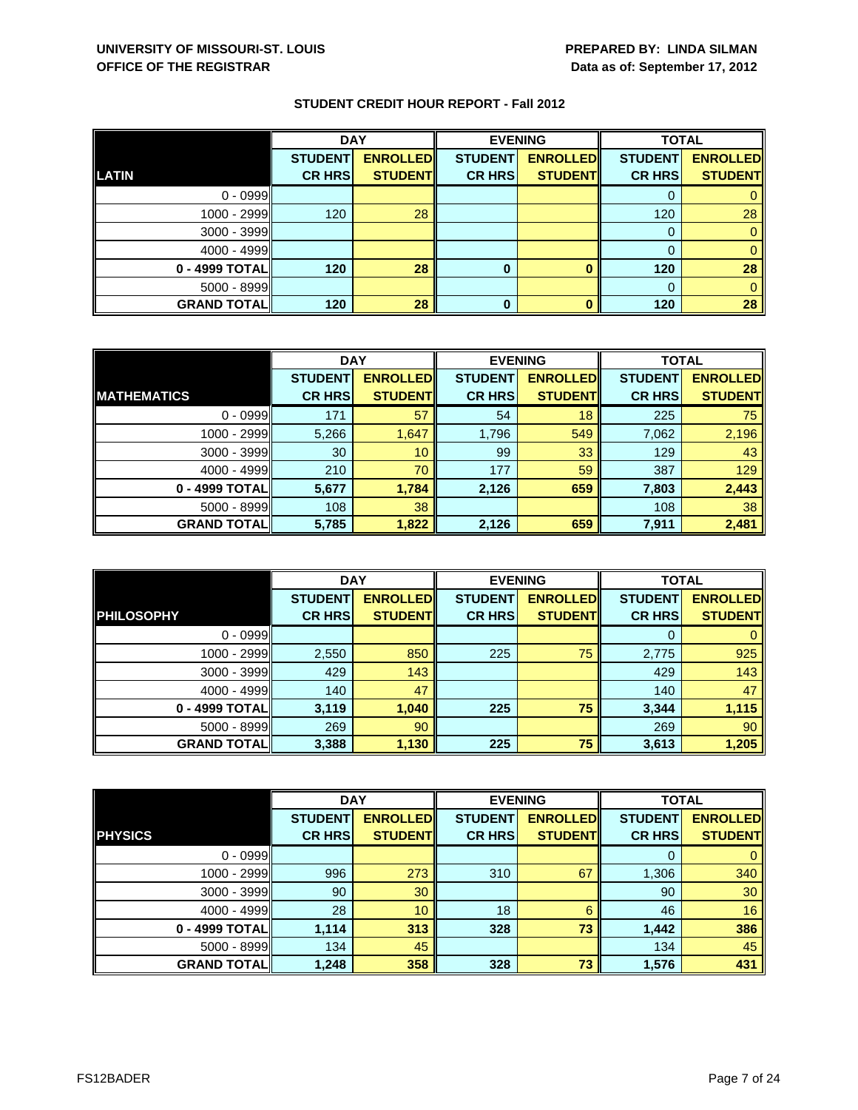|                    | <b>DAY</b>     |                 |                | <b>EVENING</b>  |                | <b>TOTAL</b>    |  |
|--------------------|----------------|-----------------|----------------|-----------------|----------------|-----------------|--|
|                    | <b>STUDENT</b> | <b>ENROLLED</b> | <b>STUDENT</b> | <b>ENROLLED</b> | <b>STUDENT</b> | <b>ENROLLED</b> |  |
| LATIN              | <b>CR HRS</b>  | <b>STUDENT</b>  | <b>CR HRS</b>  | <b>STUDENT</b>  | <b>CR HRS</b>  | <b>STUDENT</b>  |  |
| $0 - 0999$         |                |                 |                |                 |                |                 |  |
| $1000 - 2999$      | 120            | 28              |                |                 | 120            | 28              |  |
| $3000 - 3999$      |                |                 |                |                 | 0              |                 |  |
| $4000 - 4999$      |                |                 |                |                 |                |                 |  |
| $0 - 4999$ TOTAL   | 120            | 28              | 0              |                 | 120            | 28              |  |
| $5000 - 8999$      |                |                 |                |                 | $\Omega$       |                 |  |
| <b>GRAND TOTAL</b> | 120            | 28              | 0              |                 | 120            | 28              |  |

|                    | <b>DAY</b>     |                 |                | <b>EVENING</b>   |                | <b>TOTAL</b>    |  |
|--------------------|----------------|-----------------|----------------|------------------|----------------|-----------------|--|
|                    | <b>STUDENT</b> | <b>ENROLLED</b> | <b>STUDENT</b> | <b>ENROLLEDI</b> | <b>STUDENT</b> | <b>ENROLLED</b> |  |
| <b>MATHEMATICS</b> | <b>CR HRS</b>  | <b>STUDENT</b>  | <b>CR HRS</b>  | <b>STUDENT</b>   | <b>CR HRS</b>  | <b>STUDENT</b>  |  |
| $0 - 0999$         | 171            | 57              | 54             | 18               | 225            | 75              |  |
| 1000 - 2999        | 5,266          | 1,647           | 1,796          | 549              | 7,062          | 2,196           |  |
| $3000 - 3999$      | 30             | 10 <sup>°</sup> | 99             | 33               | 129            | 43              |  |
| $4000 - 4999$      | 210            | 70              | 177            | 59               | 387            | 129             |  |
| 0 - 4999 TOTAL     | 5,677          | 1,784           | 2,126          | 659              | 7,803          | 2,443           |  |
| $5000 - 8999$      | 108            | 38              |                |                  | 108            | 38              |  |
| <b>GRAND TOTAL</b> | 5,785          | 1,822           | 2,126          | 659              | 7,911          | 2,481           |  |

|                     | <b>DAY</b>     |                 |                | <b>EVENING</b>  | <b>TOTAL</b>   |                 |
|---------------------|----------------|-----------------|----------------|-----------------|----------------|-----------------|
| <b>PHILOSOPHY</b>   | <b>STUDENT</b> | <b>ENROLLED</b> | <b>STUDENT</b> | <b>ENROLLED</b> | <b>STUDENT</b> | <b>ENROLLED</b> |
|                     | <b>CR HRS</b>  | <b>STUDENT</b>  | <b>CR HRS</b>  | <b>STUDENT</b>  | <b>CR HRS</b>  | <b>STUDENT</b>  |
| $0 - 0999$          |                |                 |                |                 | 0              | $\mathbf{0}$    |
| $1000 - 2999$       | 2,550          | 850             | 225            | 75              | 2,775          | 925             |
| $3000 - 3999$       | 429            | 143             |                |                 | 429            | 143             |
| $4000 - 4999$       | 140            | 47              |                |                 | 140            | 47              |
| 0 - 4999 TOTAL      | 3,119          | 1,040           | 225            | 75              | 3,344          | 1,115           |
| $5000 - 8999$       | 269            | 90              |                |                 | 269            | 90              |
| <b>GRAND TOTALI</b> | 3,388          | 1,130           | 225            | 75              | 3,613          | 1,205           |

|                    | <b>DAY</b>     |                 |                | <b>EVENING</b>  | <b>TOTAL</b>   |                 |
|--------------------|----------------|-----------------|----------------|-----------------|----------------|-----------------|
|                    | <b>STUDENT</b> | <b>ENROLLED</b> | <b>STUDENT</b> | <b>ENROLLED</b> | <b>STUDENT</b> | <b>ENROLLED</b> |
| <b>PHYSICS</b>     | <b>CR HRS</b>  | <b>STUDENT</b>  | <b>CR HRS</b>  | <b>STUDENT</b>  | <b>CR HRS</b>  | <b>STUDENT</b>  |
| $0 - 0999$         |                |                 |                |                 | 0              | 0               |
| 1000 - 2999        | 996            | 273             | 310            | 67              | 1,306          | 340             |
| $3000 - 3999$      | 90             | 30              |                |                 | 90             | 30              |
| $4000 - 4999$      | 28             | 10              | 18             | 6               | 46             | 16              |
| 0 - 4999 TOTAL     | 1,114          | 313             | 328            | 73              | 1,442          | 386             |
| $5000 - 8999$      | 134            | 45              |                |                 | 134            | 45              |
| <b>GRAND TOTAL</b> | 1,248          | 358             | 328            | 73              | 1,576          | 431             |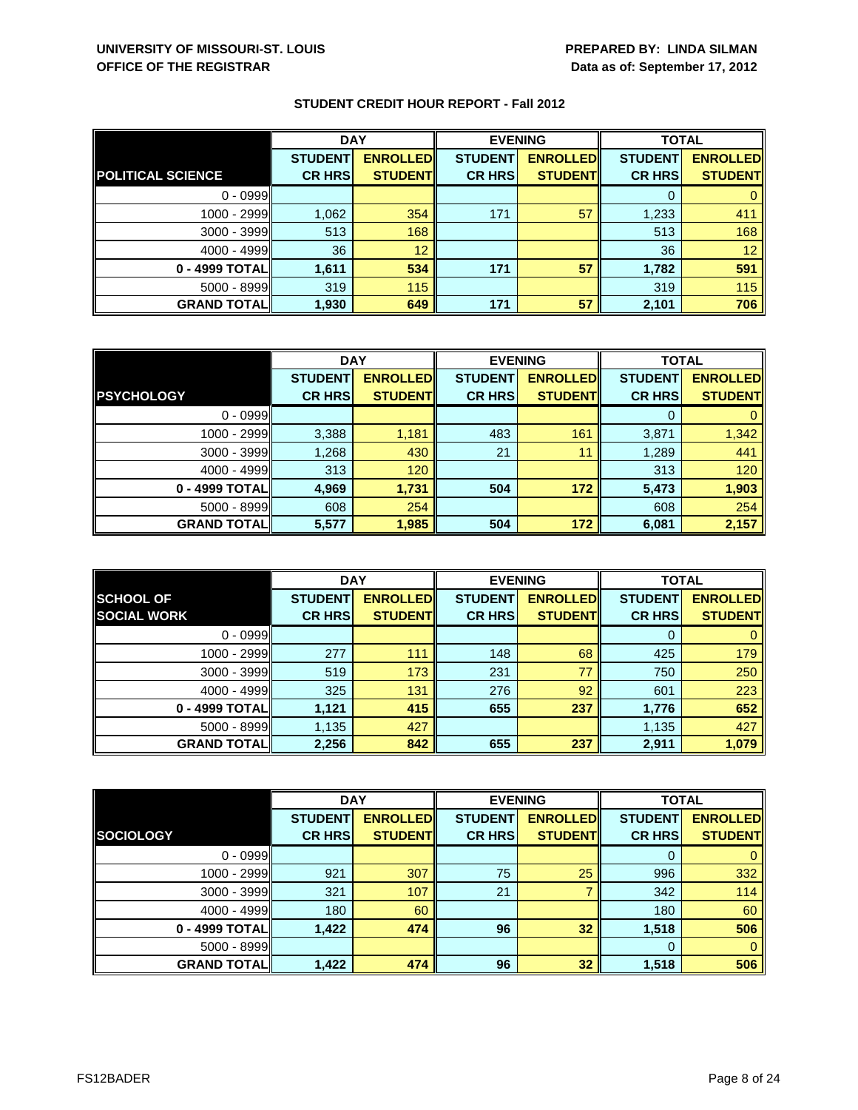|                          | <b>DAY</b>     |                 | <b>EVENING</b> |                 | <b>TOTAL</b>   |                 |
|--------------------------|----------------|-----------------|----------------|-----------------|----------------|-----------------|
|                          | <b>STUDENT</b> | <b>ENROLLED</b> | <b>STUDENT</b> | <b>ENROLLED</b> | <b>STUDENT</b> | <b>ENROLLED</b> |
| <b>POLITICAL SCIENCE</b> | <b>CR HRS</b>  | <b>STUDENT</b>  | <b>CR HRS</b>  | <b>STUDENT</b>  | <b>CR HRS</b>  | <b>STUDENT</b>  |
| $0 - 0999$               |                |                 |                |                 |                |                 |
| 1000 - 2999              | 1,062          | 354             | 171            | 57              | 1,233          | 411             |
| 3000 - 3999              | 513            | 168             |                |                 | 513            | 168             |
| $4000 - 4999$            | 36             | 12              |                |                 | 36             | 12 <sup>°</sup> |
| 0 - 4999 TOTAL           | 1,611          | 534             | 171            | 57              | 1,782          | 591             |
| 5000 - 8999              | 319            | 115             |                |                 | 319            | 115             |
| <b>GRAND TOTAL</b>       | 1,930          | 649             | 171            | 57              | 2,101          | 706             |

|                    | <b>DAY</b>     |                 | <b>EVENING</b> |                  | <b>TOTAL</b>   |                 |
|--------------------|----------------|-----------------|----------------|------------------|----------------|-----------------|
|                    | <b>STUDENT</b> | <b>ENROLLED</b> | <b>STUDENT</b> | <b>ENROLLEDI</b> | <b>STUDENT</b> | <b>ENROLLED</b> |
| <b>PSYCHOLOGY</b>  | <b>CR HRS</b>  | <b>STUDENT</b>  | <b>CR HRS</b>  | <b>STUDENTI</b>  | <b>CR HRS</b>  | <b>STUDENT</b>  |
| $0 - 0999$         |                |                 |                |                  |                |                 |
| 1000 - 2999        | 3,388          | 1,181           | 483            | 161              | 3,871          | 1,342           |
| $3000 - 3999$      | 1,268          | 430             | 21             | 11               | 1,289          | 441             |
| $4000 - 4999$      | 313            | 120             |                |                  | 313            | 120             |
| 0 - 4999 TOTAL     | 4,969          | 1,731           | 504            | 172              | 5,473          | 1,903           |
| $5000 - 8999$      | 608            | 254             |                |                  | 608            | 254             |
| <b>GRAND TOTAL</b> | 5,577          | 1,985           | 504            | 172              | 6,081          | 2,157           |

|                                        | <b>DAY</b>                      |                                   |                                 | <b>EVENING</b>                    | <b>TOTAL</b>                    |                                   |
|----------------------------------------|---------------------------------|-----------------------------------|---------------------------------|-----------------------------------|---------------------------------|-----------------------------------|
| <b>SCHOOL OF</b><br><b>SOCIAL WORK</b> | <b>STUDENT</b><br><b>CR HRS</b> | <b>ENROLLED</b><br><b>STUDENT</b> | <b>STUDENT</b><br><b>CR HRS</b> | <b>ENROLLED</b><br><b>STUDENT</b> | <b>STUDENT</b><br><b>CR HRS</b> | <b>ENROLLED</b><br><b>STUDENT</b> |
|                                        |                                 |                                   |                                 |                                   |                                 |                                   |
| $0 - 0999$                             |                                 |                                   |                                 |                                   | O                               |                                   |
| 1000 - 2999                            | 277                             | 111                               | 148                             | 68                                | 425                             | 179                               |
| $3000 - 3999$                          | 519                             | 173                               | 231                             | 77                                | 750                             | 250                               |
| $4000 - 4999$                          | 325                             | 131                               | 276                             | 92                                | 601                             | 223                               |
| 0 - 4999 TOTAL                         | 1,121                           | 415                               | 655                             | 237                               | 1,776                           | 652                               |
| $5000 - 8999$                          | 1,135                           | 427                               |                                 |                                   | 1,135                           | 427                               |
| <b>GRAND TOTALI</b>                    | 2,256                           | 842                               | 655                             | 237                               | 2,911                           | 1,079                             |

|                    | <b>DAY</b>     |                 | <b>EVENING</b> |                 | <b>TOTAL</b>   |                 |
|--------------------|----------------|-----------------|----------------|-----------------|----------------|-----------------|
|                    | <b>STUDENT</b> | <b>ENROLLED</b> | <b>STUDENT</b> | <b>ENROLLED</b> | <b>STUDENT</b> | <b>ENROLLED</b> |
| <b>SOCIOLOGY</b>   | <b>CR HRS</b>  | <b>STUDENT</b>  | <b>CR HRS</b>  | <b>STUDENT</b>  | <b>CR HRS</b>  | <b>STUDENT</b>  |
| $0 - 0999$         |                |                 |                |                 | 0              | $\mathbf{0}$    |
| 1000 - 2999        | 921            | 307             | 75             | 25              | 996            | 332             |
| 3000 - 3999        | 321            | 107             | 21             |                 | 342            | 114             |
| $4000 - 4999$      | 180            | 60              |                |                 | 180            | 60              |
| 0 - 4999 TOTAL     | 1,422          | 474             | 96             | 32 <sub>2</sub> | 1,518          | 506             |
| 5000 - 8999        |                |                 |                |                 | $\Omega$       | $\mathbf{0}$    |
| <b>GRAND TOTAL</b> | 1,422          | 474             | 96             | 32              | 1,518          | 506             |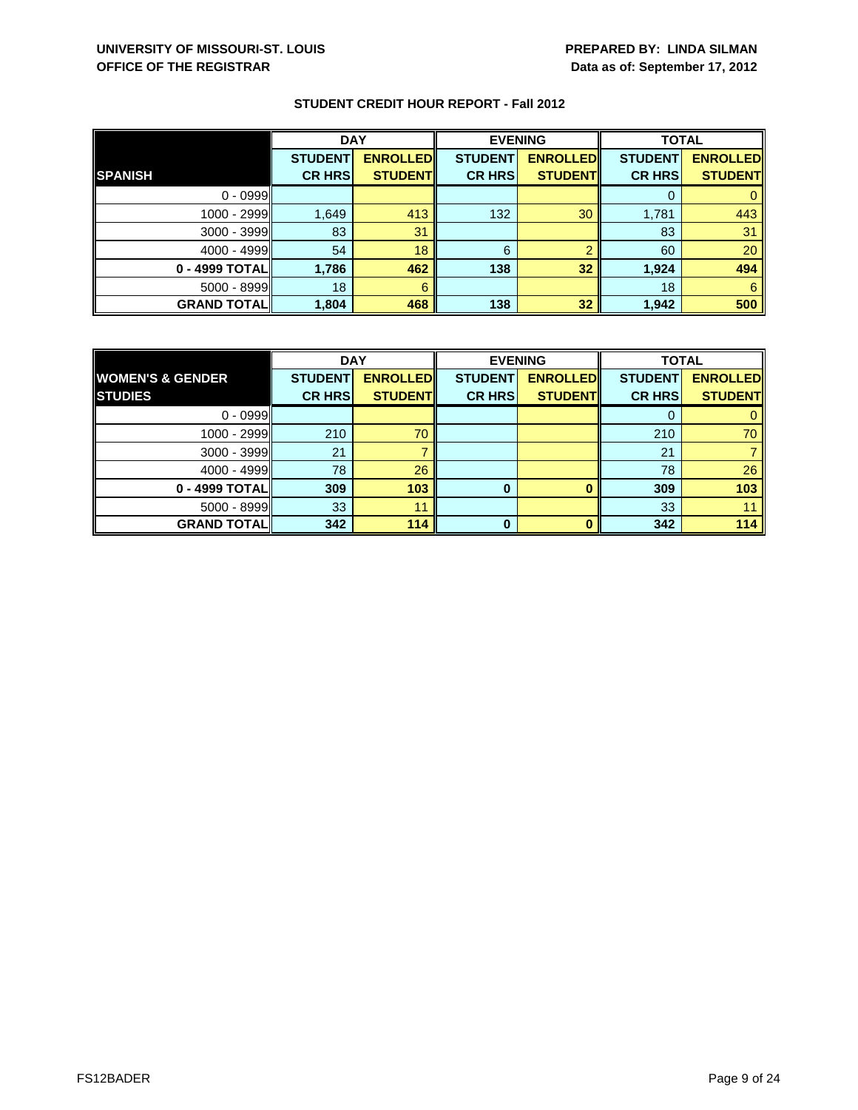|                    | <b>DAY</b>     |                 |                | <b>EVENING</b>  | <b>TOTAL</b>   |                 |
|--------------------|----------------|-----------------|----------------|-----------------|----------------|-----------------|
|                    | <b>STUDENT</b> | <b>ENROLLED</b> | <b>STUDENT</b> | <b>ENROLLED</b> | <b>STUDENT</b> | <b>ENROLLED</b> |
| <b>SPANISH</b>     | <b>CR HRS</b>  | <b>STUDENT</b>  | <b>CR HRS</b>  | <b>STUDENT</b>  | <b>CR HRS</b>  | <b>STUDENT</b>  |
| $0 - 0999$         |                |                 |                |                 |                |                 |
| 1000 - 2999        | 1,649          | 413             | 132            | 30              | 1,781          | 443             |
| $3000 - 3999$      | 83             | 31              |                |                 | 83             | 31              |
| $4000 - 4999$      | 54             | 18              | 6              | ≘               | 60             | 20              |
| 0 - 4999 TOTAL     | 1,786          | 462             | 138            | 32 <sub>2</sub> | 1,924          | 494             |
| 5000 - 8999        | 18             | 6               |                |                 | 18             | 6               |
| <b>GRAND TOTAL</b> | 1,804          | 468             | 138            | 32              | 1,942          | 500             |

|                             | <b>DAY</b>     |                 | <b>EVENING</b> |                 | <b>TOTAL</b>   |                 |
|-----------------------------|----------------|-----------------|----------------|-----------------|----------------|-----------------|
| <b>WOMEN'S &amp; GENDER</b> | <b>STUDENT</b> | <b>ENROLLED</b> | <b>STUDENT</b> | <b>ENROLLED</b> | <b>STUDENT</b> | <b>ENROLLED</b> |
| <b>STUDIES</b>              | <b>CR HRS</b>  | <b>STUDENT</b>  | <b>CR HRS</b>  | <b>STUDENT</b>  | <b>CR HRS</b>  | <b>STUDENT</b>  |
| $0 - 0999$                  |                |                 |                |                 |                |                 |
| 1000 - 2999                 | 210            | 70              |                |                 | 210            | 70              |
| $3000 - 3999$               | 21             |                 |                |                 | 21             |                 |
| $4000 - 4999$               | 78             | 26              |                |                 | 78             | 26              |
| 0 - 4999 TOTAL              | 309            | 103             | 0              |                 | 309            | 103             |
| $5000 - 8999$               | 33             | 11              |                |                 | 33             |                 |
| <b>GRAND TOTAL</b>          | 342            | 114             | $\bf{0}$       |                 | 342            | 114             |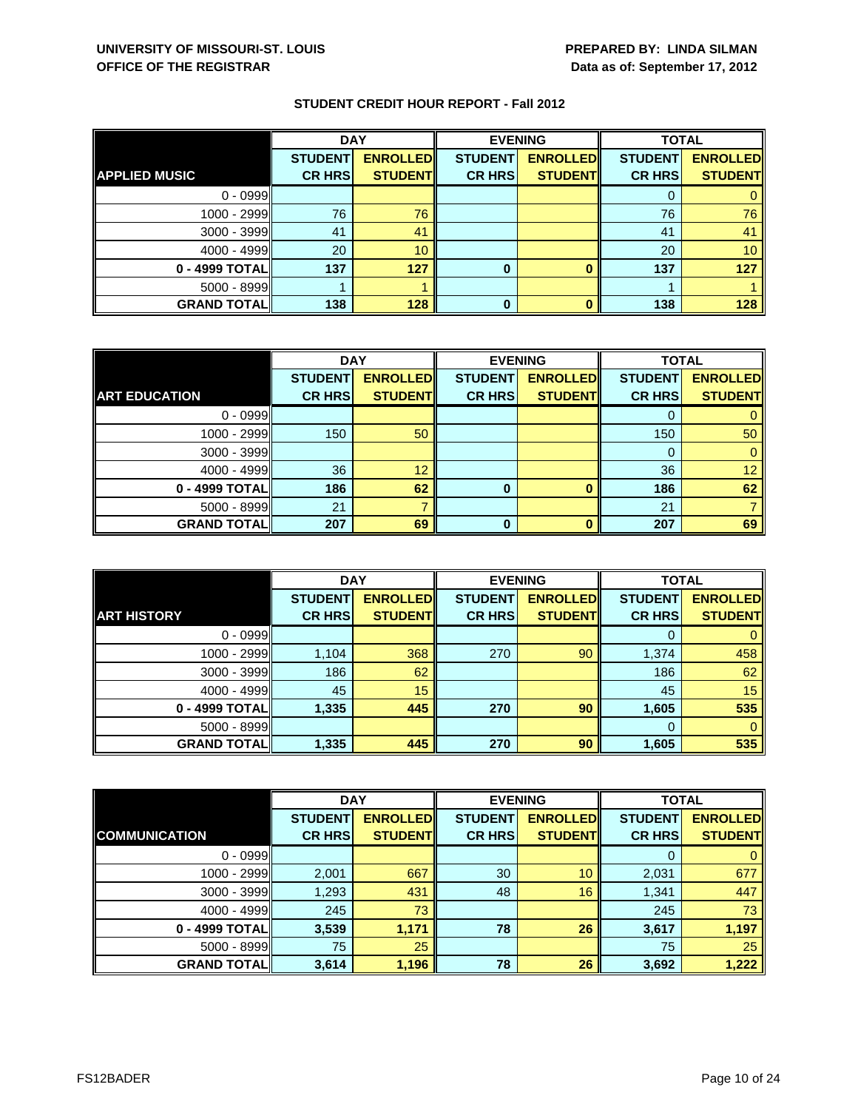|                      | <b>DAY</b>     |                 | <b>EVENING</b> |                 | <b>TOTAL</b>   |                 |
|----------------------|----------------|-----------------|----------------|-----------------|----------------|-----------------|
|                      | <b>STUDENT</b> | <b>ENROLLED</b> | <b>STUDENT</b> | <b>ENROLLED</b> | <b>STUDENT</b> | <b>ENROLLED</b> |
| <b>APPLIED MUSIC</b> | <b>CR HRS</b>  | <b>STUDENT</b>  | <b>CR HRS</b>  | <b>STUDENT</b>  | <b>CR HRS</b>  | <b>STUDENT</b>  |
| $0 - 0999$           |                |                 |                |                 |                |                 |
| $1000 - 2999$        | 76             | 76              |                |                 | 76             | 76              |
| $3000 - 3999$        | 41             | 41              |                |                 | 41             | 41              |
| $4000 - 4999$        | 20             | 10              |                |                 | 20             | 10 <sup>1</sup> |
| 0 - 4999 TOTAL       | 137            | 127             | 0              |                 | 137            | 127             |
| $5000 - 8999$        |                |                 |                |                 |                |                 |
| <b>GRAND TOTAL</b>   | 138            | 128             | 0              |                 | 138            | 128             |

|                      | <b>DAY</b>     |                 | <b>EVENING</b> |                 | <b>TOTAL</b>   |                 |
|----------------------|----------------|-----------------|----------------|-----------------|----------------|-----------------|
|                      | <b>STUDENT</b> | <b>ENROLLED</b> | <b>STUDENT</b> | <b>ENROLLED</b> | <b>STUDENT</b> | <b>ENROLLED</b> |
| <b>ART EDUCATION</b> | <b>CR HRS</b>  | <b>STUDENT</b>  | <b>CR HRS</b>  | <b>STUDENT</b>  | <b>CR HRS</b>  | <b>STUDENT</b>  |
| $0 - 0999$           |                |                 |                |                 |                |                 |
| 1000 - 2999          | 150            | 50              |                |                 | 150            | 50              |
| $3000 - 3999$        |                |                 |                |                 | 0              |                 |
| 4000 - 4999          | 36             | 12              |                |                 | 36             | 12 <sup>1</sup> |
| 0 - 4999 TOTAL       | 186            | 62              | 0              | $\bf{0}$        | 186            | 62              |
| $5000 - 8999$        | 21             |                 |                |                 | 21             |                 |
| <b>GRAND TOTAL</b>   | 207            | 69              | 0              | O               | 207            | 69              |

|                     | <b>DAY</b>                      |                                   | <b>EVENING</b>                  |                                   | <b>TOTAL</b>                    |                                   |
|---------------------|---------------------------------|-----------------------------------|---------------------------------|-----------------------------------|---------------------------------|-----------------------------------|
| <b>ART HISTORY</b>  | <b>STUDENT</b><br><b>CR HRS</b> | <b>ENROLLED</b><br><b>STUDENT</b> | <b>STUDENT</b><br><b>CR HRS</b> | <b>ENROLLED</b><br><b>STUDENT</b> | <b>STUDENT</b><br><b>CR HRS</b> | <b>ENROLLED</b><br><b>STUDENT</b> |
| $0 - 0999$          |                                 |                                   |                                 |                                   | O                               |                                   |
| 1000 - 2999         | 1,104                           | 368                               | 270                             | 90                                | 1,374                           | 458                               |
| $3000 - 3999$       | 186                             | 62                                |                                 |                                   | 186                             | 62                                |
| $4000 - 4999$       | 45                              | 15                                |                                 |                                   | 45                              | 15                                |
| 0 - 4999 TOTAL      | 1,335                           | 445                               | 270                             | 90                                | 1,605                           | 535                               |
| $5000 - 8999$       |                                 |                                   |                                 |                                   | 0                               | 0                                 |
| <b>GRAND TOTALI</b> | 1,335                           | 445                               | 270                             | 90                                | 1,605                           | 535                               |

|                      | <b>DAY</b>     |                 | <b>EVENING</b> |                 | <b>TOTAL</b>   |                 |
|----------------------|----------------|-----------------|----------------|-----------------|----------------|-----------------|
|                      | <b>STUDENT</b> | <b>ENROLLED</b> | <b>STUDENT</b> | <b>ENROLLED</b> | <b>STUDENT</b> | <b>ENROLLED</b> |
| <b>COMMUNICATION</b> | <b>CR HRS</b>  | <b>STUDENT</b>  | <b>CR HRS</b>  | <b>STUDENT</b>  | <b>CR HRS</b>  | <b>STUDENT</b>  |
| $0 - 0999$           |                |                 |                |                 | 0              | 0               |
| 1000 - 2999          | 2,001          | 667             | 30             | 10              | 2,031          | 677             |
| $3000 - 3999$        | 1,293          | 431             | 48             | 16              | 1,341          | 447             |
| $4000 - 4999$        | 245            | 73              |                |                 | 245            | 73              |
| 0 - 4999 TOTAL       | 3,539          | 1,171           | 78             | 26              | 3,617          | 1,197           |
| $5000 - 8999$        | 75             | 25              |                |                 | 75             | 25              |
| <b>GRAND TOTAL</b>   | 3,614          | 1,196           | 78             | 26              | 3,692          | 1,222           |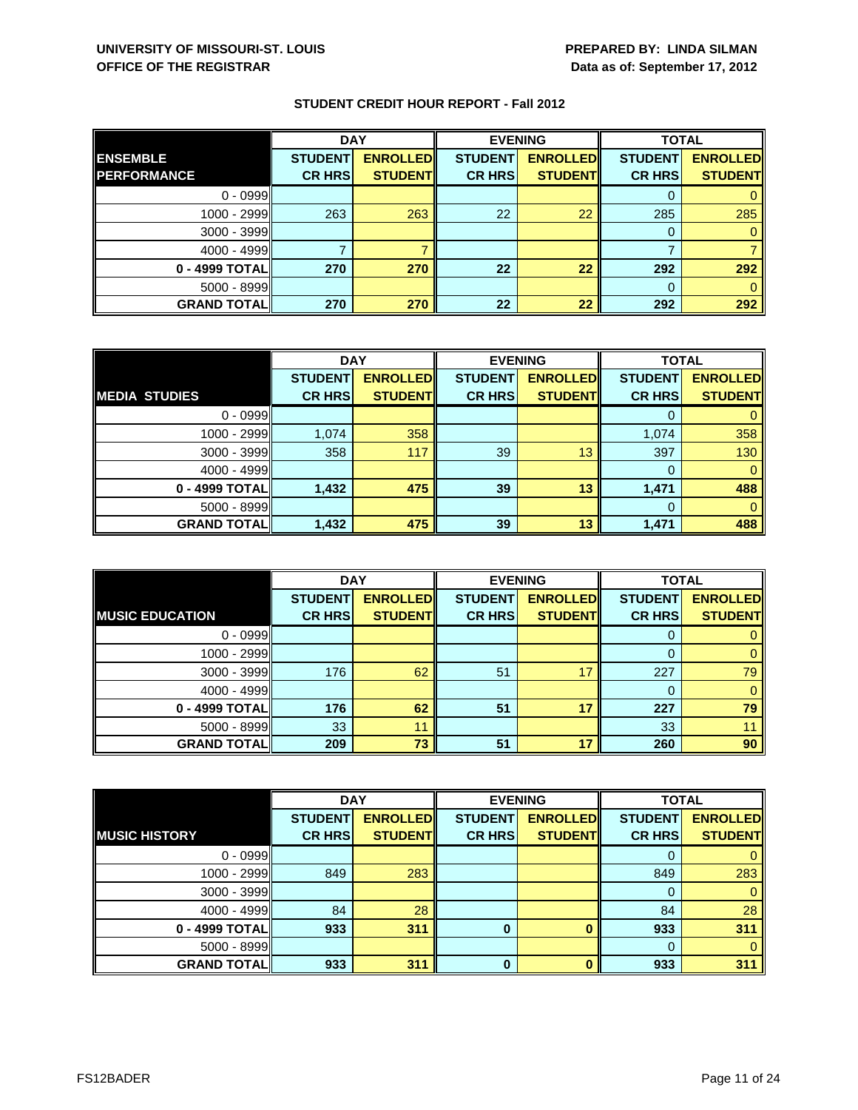|                     | <b>DAY</b>     |                 | <b>EVENING</b> |                 | <b>TOTAL</b>   |                 |
|---------------------|----------------|-----------------|----------------|-----------------|----------------|-----------------|
| <b>ENSEMBLE</b>     | <b>STUDENT</b> | <b>ENROLLED</b> | <b>STUDENT</b> | <b>ENROLLED</b> | <b>STUDENT</b> | <b>ENROLLED</b> |
| <b>IPERFORMANCE</b> | <b>CR HRS</b>  | <b>STUDENT</b>  | <b>CR HRS</b>  | <b>STUDENT</b>  | <b>CR HRS</b>  | <b>STUDENT</b>  |
| $0 - 0999$          |                |                 |                |                 |                |                 |
| $1000 - 2999$       | 263            | 263             | 22             | 22              | 285            | 285             |
| 3000 - 3999         |                |                 |                |                 | 0              |                 |
| $4000 - 4999$       |                |                 |                |                 |                |                 |
| 0 - 4999 TOTAL      | 270            | 270             | 22             | 22              | 292            | 292             |
| $5000 - 8999$       |                |                 |                |                 | $\Omega$       |                 |
| <b>GRAND TOTAL</b>  | 270            | 270             | 22             | 22              | 292            | 292             |

|                      | <b>DAY</b>     |                 | <b>EVENING</b> |                 | <b>TOTAL</b>   |                 |
|----------------------|----------------|-----------------|----------------|-----------------|----------------|-----------------|
|                      | <b>STUDENT</b> | <b>ENROLLED</b> | <b>STUDENT</b> | <b>ENROLLED</b> | <b>STUDENT</b> | <b>ENROLLED</b> |
| <b>MEDIA STUDIES</b> | <b>CR HRS</b>  | <b>STUDENT</b>  | <b>CR HRS</b>  | <b>STUDENT</b>  | <b>CR HRS</b>  | <b>STUDENT</b>  |
| $0 - 0999$           |                |                 |                |                 |                |                 |
| 1000 - 2999          | 1,074          | 358             |                |                 | 1,074          | 358             |
| $3000 - 3999$        | 358            | 117             | 39             | 13              | 397            | 130             |
| $4000 - 4999$        |                |                 |                |                 | 0              | 0               |
| 0 - 4999 TOTAL       | 1,432          | 475             | 39             | 13              | 1,471          | 488             |
| $5000 - 8999$        |                |                 |                |                 | 0              |                 |
| <b>GRAND TOTAL</b>   | 1,432          | 475             | 39             | 13              | 1,471          | 488             |

|                        | <b>DAY</b>                      |                                   |                                 | <b>EVENING</b>                    | <b>TOTAL</b>                    |                                   |
|------------------------|---------------------------------|-----------------------------------|---------------------------------|-----------------------------------|---------------------------------|-----------------------------------|
| <b>MUSIC EDUCATION</b> | <b>STUDENT</b><br><b>CR HRS</b> | <b>ENROLLED</b><br><b>STUDENT</b> | <b>STUDENT</b><br><b>CR HRS</b> | <b>ENROLLED</b><br><b>STUDENT</b> | <b>STUDENT</b><br><b>CR HRS</b> | <b>ENROLLED</b><br><b>STUDENT</b> |
|                        |                                 |                                   |                                 |                                   |                                 |                                   |
| $0 - 0999$             |                                 |                                   |                                 |                                   | U                               |                                   |
| $1000 - 2999$          |                                 |                                   |                                 |                                   |                                 |                                   |
| $3000 - 3999$          | 176                             | 62                                | 51                              |                                   | 227                             | 79                                |
| $4000 - 4999$          |                                 |                                   |                                 |                                   |                                 |                                   |
| 0 - 4999 TOTALI        | 176                             | 62                                | 51                              | 17                                | 227                             | 79                                |
| $5000 - 8999$          | 33                              | 11                                |                                 |                                   | 33                              |                                   |
| <b>GRAND TOTAL</b>     | 209                             | 73                                | 51                              | 47                                | 260                             | 90                                |

|                      | <b>DAY</b>     |                 |                | <b>EVENING</b>  |                | <b>TOTAL</b>    |  |
|----------------------|----------------|-----------------|----------------|-----------------|----------------|-----------------|--|
|                      | <b>STUDENT</b> | <b>ENROLLED</b> | <b>STUDENT</b> | <b>ENROLLED</b> | <b>STUDENT</b> | <b>ENROLLED</b> |  |
| <b>MUSIC HISTORY</b> | <b>CR HRS</b>  | <b>STUDENT</b>  | <b>CR HRS</b>  | <b>STUDENT</b>  | <b>CR HRS</b>  | <b>STUDENT</b>  |  |
| $0 - 0999$           |                |                 |                |                 | 0              | $\mathbf{0}$    |  |
| 1000 - 2999          | 849            | 283             |                |                 | 849            | 283             |  |
| $3000 - 3999$        |                |                 |                |                 | 0              | $\mathbf{0}$    |  |
| 4000 - 4999          | 84             | 28              |                |                 | 84             | 28              |  |
| 0 - 4999 TOTAL       | 933            | 311             | 0              |                 | 933            | 311             |  |
| $5000 - 8999$        |                |                 |                |                 | $\Omega$       | $\Omega$        |  |
| <b>GRAND TOTAL</b>   | 933            | 311             | $\bf{0}$       | n               | 933            | 311             |  |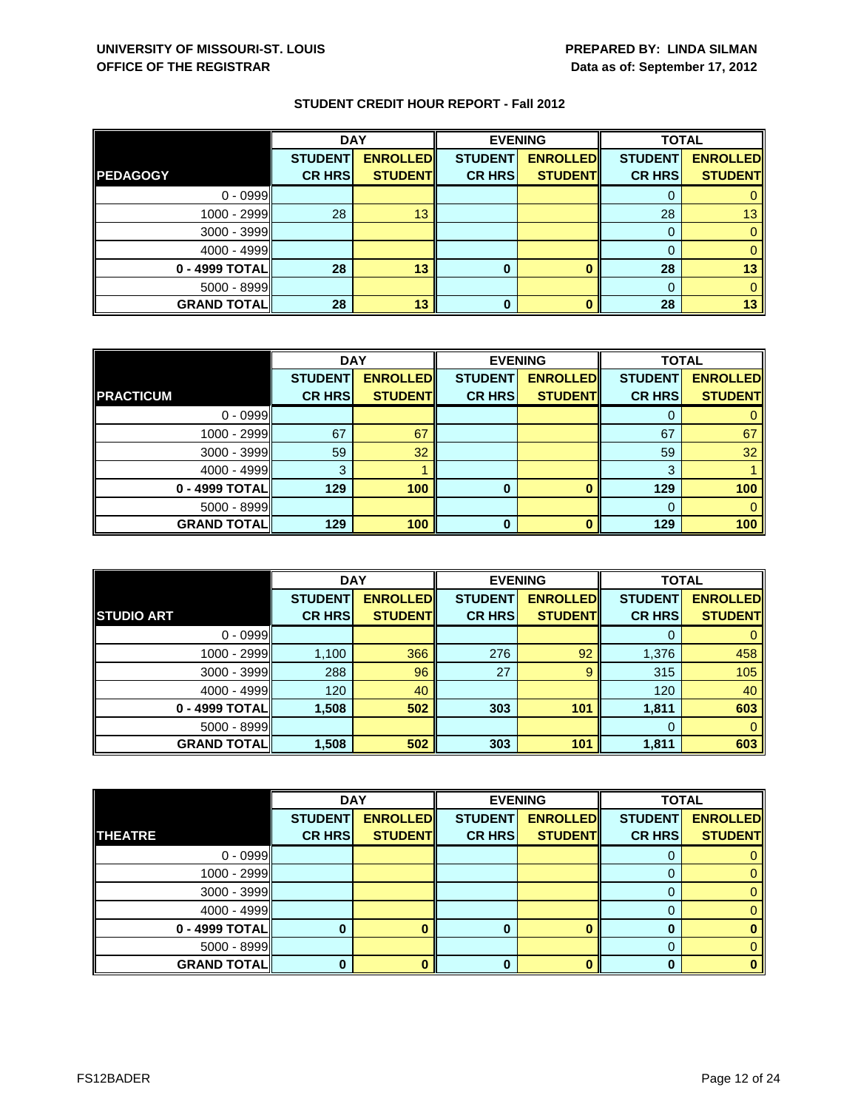|                    | <b>DAY</b>     |                 |                | <b>EVENING</b>  | <b>TOTAL</b>   |                 |
|--------------------|----------------|-----------------|----------------|-----------------|----------------|-----------------|
|                    | <b>STUDENT</b> | <b>ENROLLED</b> | <b>STUDENT</b> | <b>ENROLLED</b> | <b>STUDENT</b> | <b>ENROLLED</b> |
| <b>PEDAGOGY</b>    | <b>CR HRS</b>  | <b>STUDENT</b>  | <b>CR HRS</b>  | <b>STUDENT</b>  | <b>CR HRS</b>  | <b>STUDENT</b>  |
| $0 - 0999$         |                |                 |                |                 |                |                 |
| $1000 - 2999$      | 28             | 13              |                |                 | 28             | 13 <sup>1</sup> |
| $3000 - 3999$      |                |                 |                |                 |                |                 |
| $4000 - 4999$      |                |                 |                |                 |                |                 |
| $0 - 4999$ TOTAL   | 28             | 13              | 0              |                 | 28             | 13              |
| $5000 - 8999$      |                |                 |                |                 |                |                 |
| <b>GRAND TOTAL</b> | 28             | 13              | 0              |                 | 28             | 13              |

|                    | <b>DAY</b>     |                 | <b>EVENING</b> |                 | <b>TOTAL</b>   |                 |
|--------------------|----------------|-----------------|----------------|-----------------|----------------|-----------------|
|                    | <b>STUDENT</b> | <b>ENROLLED</b> | <b>STUDENT</b> | <b>ENROLLED</b> | <b>STUDENT</b> | <b>ENROLLED</b> |
| <b>PRACTICUM</b>   | <b>CR HRS</b>  | <b>STUDENT</b>  | <b>CR HRS</b>  | <b>STUDENT</b>  | <b>CR HRS</b>  | <b>STUDENT</b>  |
| $0 - 0999$         |                |                 |                |                 |                |                 |
| 1000 - 2999        | 67             | 67              |                |                 | 67             | 67              |
| $3000 - 3999$      | 59             | 32              |                |                 | 59             | 32              |
| $4000 - 4999$      | 3              |                 |                |                 | 3              |                 |
| 0 - 4999 TOTAL     | 129            | 100             | 0              |                 | 129            | 100             |
| $5000 - 8999$      |                |                 |                |                 | 0              |                 |
| <b>GRAND TOTAL</b> | 129            | 100             | O              | n               | 129            | 100             |

|                     | <b>DAY</b>     |                 |                | <b>EVENING</b>  | <b>TOTAL</b>   |                 |
|---------------------|----------------|-----------------|----------------|-----------------|----------------|-----------------|
|                     | <b>STUDENT</b> | <b>ENROLLED</b> | <b>STUDENT</b> | <b>ENROLLED</b> | <b>STUDENT</b> | <b>ENROLLED</b> |
| <b>STUDIO ART</b>   | <b>CR HRS</b>  | <b>STUDENT</b>  | <b>CR HRS</b>  | <b>STUDENT</b>  | <b>CR HRS</b>  | <b>STUDENT</b>  |
| $0 - 0999$          |                |                 |                |                 | O              |                 |
| $1000 - 2999$       | 1,100          | 366             | 276            | 92              | 1,376          | 458             |
| $3000 - 3999$       | 288            | 96              | 27             | 9               | 315            | 105             |
| $4000 - 4999$       | 120            | 40              |                |                 | 120            | 40              |
| 0 - 4999 TOTAL      | 1,508          | 502             | 303            | 101             | 1,811          | 603             |
| $5000 - 8999$       |                |                 |                |                 | 0              | 0               |
| <b>GRAND TOTALI</b> | 1,508          | 502             | 303            | 101             | 1,811          | 603             |

|                    | <b>DAY</b>     |                 |                | <b>EVENING</b>  | <b>TOTAL</b>   |                 |
|--------------------|----------------|-----------------|----------------|-----------------|----------------|-----------------|
|                    | <b>STUDENT</b> | <b>ENROLLED</b> | <b>STUDENT</b> | <b>ENROLLED</b> | <b>STUDENT</b> | <b>ENROLLED</b> |
| <b>THEATRE</b>     | <b>CR HRS</b>  | <b>STUDENT</b>  | <b>CR HRS</b>  | <b>STUDENT</b>  | <b>CR HRS</b>  | <b>STUDENT</b>  |
| $0 - 0999$         |                |                 |                |                 |                |                 |
| $1000 - 2999$      |                |                 |                |                 |                | 0               |
| $3000 - 3999$      |                |                 |                |                 | O              | 0.              |
| $4000 - 4999$      |                |                 |                |                 |                |                 |
| $0 - 4999$ TOTAL   |                |                 |                |                 |                |                 |
| $5000 - 8999$      |                |                 |                |                 | 0              |                 |
| <b>GRAND TOTAL</b> |                |                 |                |                 | n              | o               |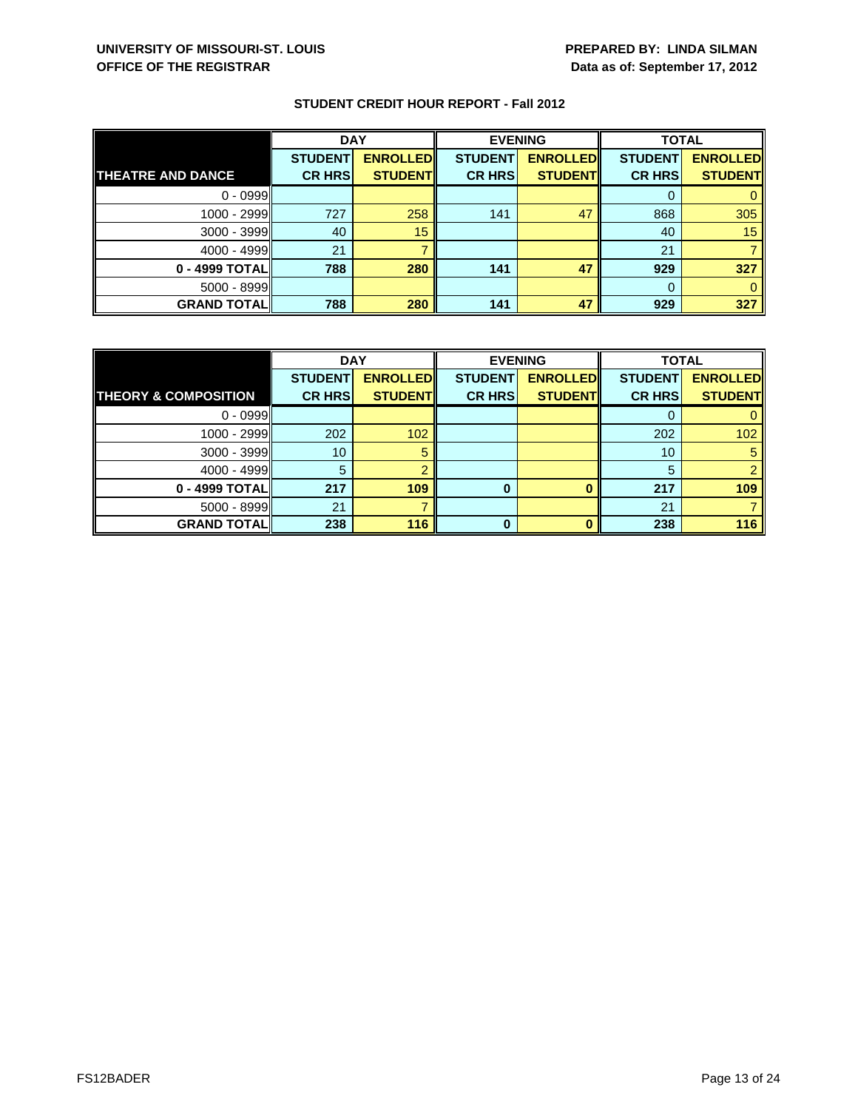|                          | <b>DAY</b>     |                 | <b>EVENING</b> |                 | <b>TOTAL</b>   |                 |
|--------------------------|----------------|-----------------|----------------|-----------------|----------------|-----------------|
|                          | <b>STUDENT</b> | <b>ENROLLED</b> | <b>STUDENT</b> | <b>ENROLLED</b> | <b>STUDENT</b> | <b>ENROLLED</b> |
| <b>THEATRE AND DANCE</b> | <b>CR HRS</b>  | <b>STUDENT</b>  | <b>CR HRS</b>  | <b>STUDENT</b>  | <b>CR HRS</b>  | <b>STUDENT</b>  |
| $0 - 0999$               |                |                 |                |                 |                |                 |
| 1000 - 2999              | 727            | 258             | 141            | 47              | 868            | 305             |
| 3000 - 3999              | 40             | 15              |                |                 | 40             | 15              |
| $4000 - 4999$            | 21             |                 |                |                 | 21             |                 |
| 0 - 4999 TOTAL           | 788            | 280             | 141            | 47              | 929            | 327             |
| 5000 - 8999              |                |                 |                |                 | 0              |                 |
| <b>GRAND TOTAL</b>       | 788            | 280             | 141            | 47              | 929            | 327             |

|                                 | <b>DAY</b>     |                 |                | <b>EVENING</b>  |                | <b>TOTAL</b>    |  |
|---------------------------------|----------------|-----------------|----------------|-----------------|----------------|-----------------|--|
|                                 | <b>STUDENT</b> | <b>ENROLLED</b> | <b>STUDENT</b> | <b>ENROLLED</b> | <b>STUDENT</b> | <b>ENROLLED</b> |  |
| <b>THEORY &amp; COMPOSITION</b> | <b>CR HRS</b>  | <b>STUDENT</b>  | <b>CR HRS</b>  | <b>STUDENT</b>  | <b>CR HRS</b>  | <b>STUDENT</b>  |  |
| $0 - 0999$                      |                |                 |                |                 |                |                 |  |
| 1000 - 2999                     | 202            | 102             |                |                 | 202            | 102             |  |
| 3000 - 3999                     | 10             | 5               |                |                 | 10             | 5               |  |
| $4000 - 4999$                   | 5              |                 |                |                 | 5              |                 |  |
| 0 - 4999 TOTAL                  | 217            | 109             | 0              |                 | 217            | 109             |  |
| $5000 - 8999$                   | 21             |                 |                |                 | 21             |                 |  |
| <b>GRAND TOTAL</b>              | 238            | 116             | ŋ              |                 | 238            | 116             |  |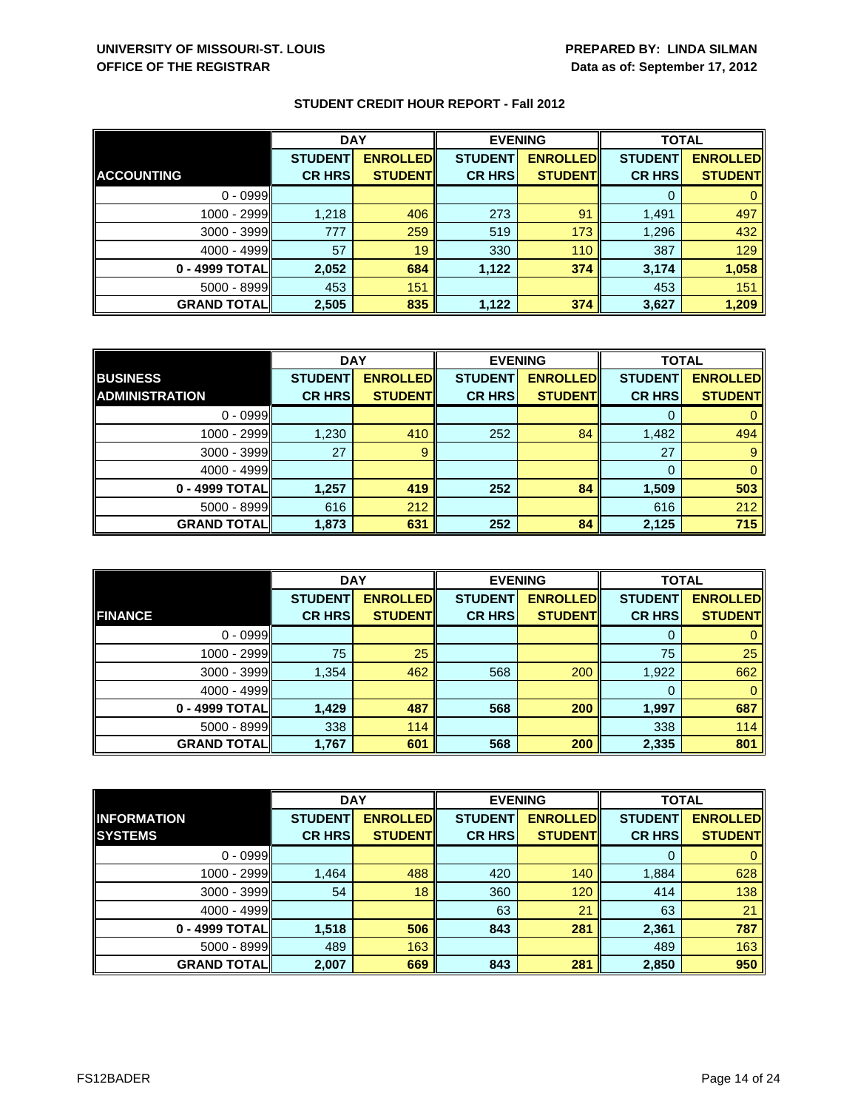|                    | <b>DAY</b>     |                 | <b>EVENING</b> |                 | <b>TOTAL</b>   |                 |
|--------------------|----------------|-----------------|----------------|-----------------|----------------|-----------------|
|                    | <b>STUDENT</b> | <b>ENROLLED</b> | <b>STUDENT</b> | <b>ENROLLED</b> | <b>STUDENT</b> | <b>ENROLLED</b> |
| <b>ACCOUNTING</b>  | <b>CR HRS</b>  | <b>STUDENT</b>  | <b>CR HRS</b>  | <b>STUDENT</b>  | <b>CR HRS</b>  | <b>STUDENT</b>  |
| $0 - 0999$         |                |                 |                |                 |                |                 |
| 1000 - 2999        | 1,218          | 406             | 273            | 91              | 1,491          | 497             |
| $3000 - 3999$      | 777            | 259             | 519            | 173             | 1,296          | 432             |
| $4000 - 4999$      | 57             | 19              | 330            | 110             | 387            | 129             |
| 0 - 4999 TOTAL     | 2,052          | 684             | 1,122          | 374             | 3,174          | 1,058           |
| $5000 - 8999$      | 453            | 151             |                |                 | 453            | 151             |
| <b>GRAND TOTAL</b> | 2,505          | 835             | 1,122          | 374             | 3,627          | 1,209           |

|                       | <b>DAY</b>     |                 |                | <b>EVENING</b>  | <b>TOTAL</b>   |                 |
|-----------------------|----------------|-----------------|----------------|-----------------|----------------|-----------------|
| <b>BUSINESS</b>       | <b>STUDENT</b> | <b>ENROLLED</b> | <b>STUDENT</b> | <b>ENROLLED</b> | <b>STUDENT</b> | <b>ENROLLED</b> |
| <b>ADMINISTRATION</b> | <b>CR HRS</b>  | <b>STUDENT</b>  | <b>CR HRS</b>  | <b>STUDENT</b>  | <b>CR HRS</b>  | <b>STUDENT</b>  |
| $0 - 0999$            |                |                 |                |                 |                |                 |
| 1000 - 2999           | 1,230          | 410             | 252            | 84              | 1,482          | 494             |
| $3000 - 3999$         | 27             | 9               |                |                 | 27             | 9               |
| $4000 - 4999$         |                |                 |                |                 | 0              | 0               |
| 0 - 4999 TOTAL        | 1,257          | 419             | 252            | 84              | 1,509          | 503             |
| $5000 - 8999$         | 616            | 212             |                |                 | 616            | 212             |
| <b>GRAND TOTAL</b>    | 1,873          | 631             | 252            | 84              | 2,125          | 715             |

|                     | <b>DAY</b>                      |                                   |                                 | <b>EVENING</b>                    | <b>TOTAL</b>                    |                                   |
|---------------------|---------------------------------|-----------------------------------|---------------------------------|-----------------------------------|---------------------------------|-----------------------------------|
| <b>FINANCE</b>      | <b>STUDENT</b><br><b>CR HRS</b> | <b>ENROLLED</b><br><b>STUDENT</b> | <b>STUDENT</b><br><b>CR HRS</b> | <b>ENROLLED</b><br><b>STUDENT</b> | <b>STUDENT</b><br><b>CR HRS</b> | <b>ENROLLED</b><br><b>STUDENT</b> |
|                     |                                 |                                   |                                 |                                   |                                 |                                   |
| $0 - 0999$          |                                 |                                   |                                 |                                   | O                               |                                   |
| 1000 - 2999         | 75                              | 25                                |                                 |                                   | 75                              | 25                                |
| $3000 - 3999$       | 1,354                           | 462                               | 568                             | 200                               | 1,922                           | 662                               |
| $4000 - 4999$       |                                 |                                   |                                 |                                   | 0                               | 0                                 |
| 0 - 4999 TOTAL      | 1,429                           | 487                               | 568                             | 200                               | 1,997                           | 687                               |
| $5000 - 8999$       | 338                             | 114                               |                                 |                                   | 338                             | 114                               |
| <b>GRAND TOTALI</b> | 1,767                           | 601                               | 568                             | 200                               | 2,335                           | 801                               |

|                    | <b>DAY</b>     |                 | <b>EVENING</b> |                 | <b>TOTAL</b>   |                 |
|--------------------|----------------|-----------------|----------------|-----------------|----------------|-----------------|
| <b>INFORMATION</b> | <b>STUDENT</b> | <b>ENROLLED</b> | <b>STUDENT</b> | <b>ENROLLED</b> | <b>STUDENT</b> | <b>ENROLLED</b> |
| <b>SYSTEMS</b>     | <b>CR HRS</b>  | <b>STUDENT</b>  | <b>CR HRS</b>  | <b>STUDENT</b>  | <b>CR HRS</b>  | <b>STUDENT</b>  |
| $0 - 0999$         |                |                 |                |                 | 0              | $\mathbf{0}$    |
| 1000 - 2999        | 1,464          | 488             | 420            | 140             | 1,884          | 628             |
| $3000 - 3999$      | 54             | 18              | 360            | 120             | 414            | 138             |
| $4000 - 4999$      |                |                 | 63             | 21              | 63             | 21              |
| 0 - 4999 TOTAL     | 1,518          | 506             | 843            | 281             | 2,361          | 787             |
| $5000 - 8999$      | 489            | 163             |                |                 | 489            | 163             |
| <b>GRAND TOTAL</b> | 2,007          | 669             | 843            | 281             | 2,850          | 950             |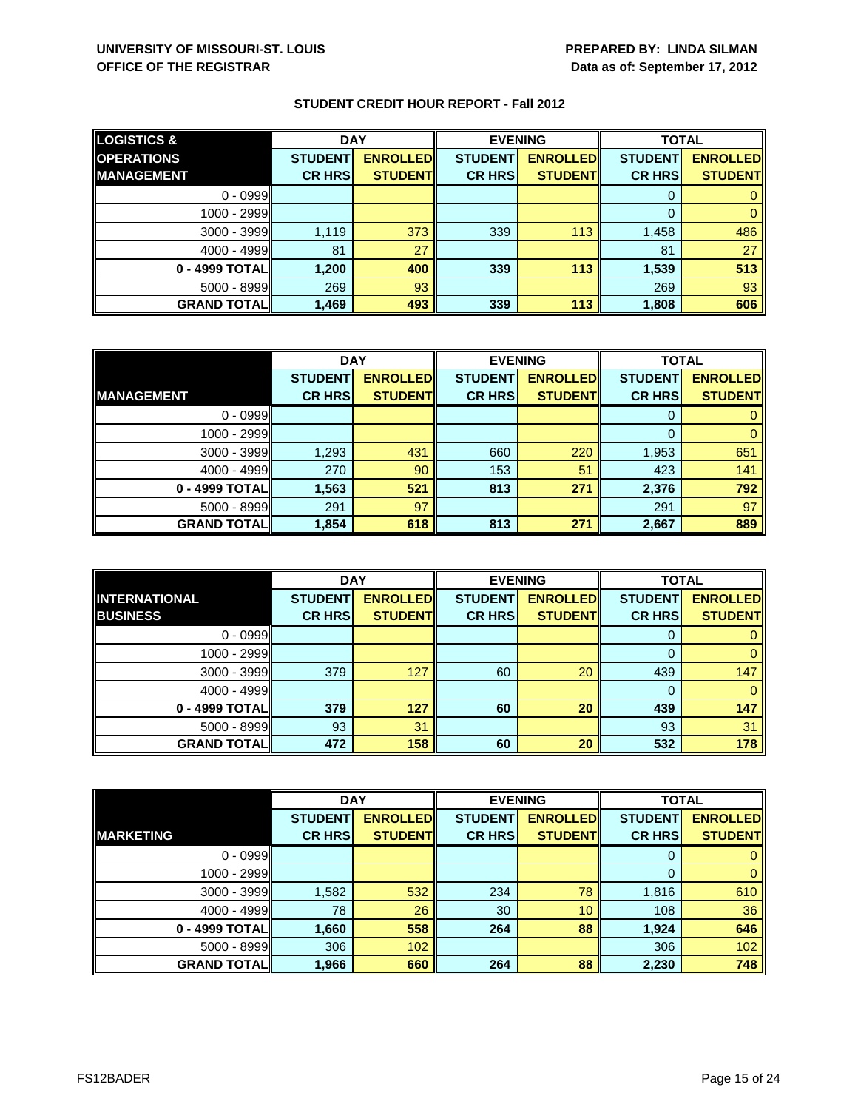| <b>LOGISTICS &amp;</b> | <b>DAY</b>     |                 | <b>EVENING</b> |                 | <b>TOTAL</b>   |                 |
|------------------------|----------------|-----------------|----------------|-----------------|----------------|-----------------|
| <b>OPERATIONS</b>      | <b>STUDENT</b> | <b>ENROLLED</b> | <b>STUDENT</b> | <b>ENROLLED</b> | <b>STUDENT</b> | <b>ENROLLED</b> |
| <b>MANAGEMENT</b>      | <b>CR HRS</b>  | <b>STUDENT</b>  | <b>CR HRS</b>  | <b>STUDENT</b>  | <b>CR HRS</b>  | <b>STUDENT</b>  |
| $0 - 0999$             |                |                 |                |                 |                |                 |
| 1000 - 2999            |                |                 |                |                 |                |                 |
| $3000 - 3999$          | 1.119          | 373             | 339            | 113             | 1,458          | 486             |
| $4000 - 4999$          | 81             | 27              |                |                 | 81             | 27              |
| 0 - 4999 TOTAL         | 1,200          | 400             | 339            | 113             | 1,539          | 513             |
| $5000 - 8999$          | 269            | 93              |                |                 | 269            | 93              |
| <b>GRAND TOTALI</b>    | 1,469          | 493             | 339            | 113             | 1,808          | 606             |

|                    | <b>DAY</b>     |                 |                | <b>EVENING</b>  | <b>TOTAL</b>   |                 |
|--------------------|----------------|-----------------|----------------|-----------------|----------------|-----------------|
|                    | <b>STUDENT</b> | <b>ENROLLED</b> | <b>STUDENT</b> | <b>ENROLLED</b> | <b>STUDENT</b> | <b>ENROLLED</b> |
| <b>IMANAGEMENT</b> | <b>CR HRS</b>  | <b>STUDENT</b>  | <b>CR HRS</b>  | <b>STUDENT</b>  | <b>CR HRS</b>  | <b>STUDENT</b>  |
| $0 - 0999$         |                |                 |                |                 |                |                 |
| $1000 - 2999$      |                |                 |                |                 | 0              |                 |
| $3000 - 3999$      | 1,293          | 431             | 660            | 220             | 1,953          | 651             |
| $4000 - 4999$      | 270            | 90              | 153            | 51              | 423            | 141             |
| 0 - 4999 TOTAL     | 1,563          | 521             | 813            | 271             | 2,376          | 792             |
| $5000 - 8999$      | 291            | 97              |                |                 | 291            | 97              |
| <b>GRAND TOTAL</b> | 1,854          | 618             | 813            | 271             | 2,667          | 889             |

|                                         | <b>DAY</b>                      |                                   | <b>EVENING</b>                  |                                   | <b>TOTAL</b>                    |                                   |
|-----------------------------------------|---------------------------------|-----------------------------------|---------------------------------|-----------------------------------|---------------------------------|-----------------------------------|
| <b>INTERNATIONAL</b><br><b>BUSINESS</b> | <b>STUDENT</b><br><b>CR HRS</b> | <b>ENROLLED</b><br><b>STUDENT</b> | <b>STUDENT</b><br><b>CR HRS</b> | <b>ENROLLED</b><br><b>STUDENT</b> | <b>STUDENT</b><br><b>CR HRS</b> | <b>ENROLLED</b><br><b>STUDENT</b> |
|                                         |                                 |                                   |                                 |                                   |                                 |                                   |
| $0 - 0999$                              |                                 |                                   |                                 |                                   | O                               |                                   |
| $1000 - 2999$                           |                                 |                                   |                                 |                                   |                                 |                                   |
| $3000 - 3999$                           | 379                             | 127                               | 60                              | 20                                | 439                             | 147                               |
| $4000 - 4999$                           |                                 |                                   |                                 |                                   | 0                               |                                   |
| 0 - 4999 TOTAL                          | 379                             | 127                               | 60                              | 20                                | 439                             | 147                               |
| $5000 - 8999$                           | 93                              | 31                                |                                 |                                   | 93                              | 31                                |
| <b>GRAND TOTALI</b>                     | 472                             | 158                               | 60                              | 20                                | 532                             | 178                               |

|                    | <b>DAY</b>     |                 | <b>EVENING</b> |                 | <b>TOTAL</b>   |                 |
|--------------------|----------------|-----------------|----------------|-----------------|----------------|-----------------|
|                    | <b>STUDENT</b> | <b>ENROLLED</b> | <b>STUDENT</b> | <b>ENROLLED</b> | <b>STUDENT</b> | <b>ENROLLED</b> |
| <b>MARKETING</b>   | <b>CR HRS</b>  | <b>STUDENT</b>  | <b>CR HRS</b>  | <b>STUDENT</b>  | <b>CR HRS</b>  | <b>STUDENT</b>  |
| $0 - 0999$         |                |                 |                |                 | 0              | $\mathbf{0}$    |
| 1000 - 2999        |                |                 |                |                 | 0              | $\mathbf{0}$    |
| $3000 - 3999$      | 1,582          | 532             | 234            | 78              | 1,816          | 610             |
| $4000 - 4999$      | 78             | 26              | 30             | 10              | 108            | 36              |
| 0 - 4999 TOTAL     | 1,660          | 558             | 264            | 88              | 1,924          | 646             |
| $5000 - 8999$      | 306            | 102             |                |                 | 306            | 102             |
| <b>GRAND TOTAL</b> | 1,966          | 660             | 264            | 88              | 2,230          | 748             |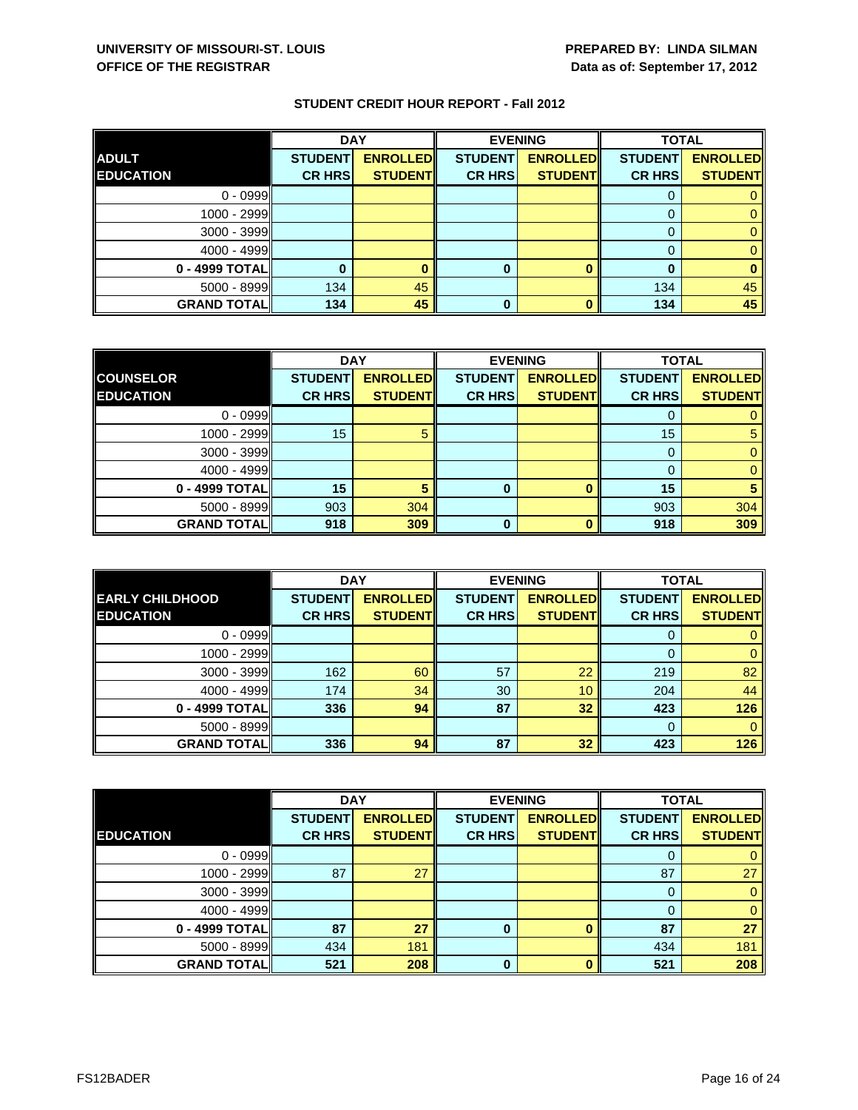|                    | <b>DAY</b>     |                 |                | <b>EVENING</b>  | <b>TOTAL</b>   |                 |
|--------------------|----------------|-----------------|----------------|-----------------|----------------|-----------------|
| <b>ADULT</b>       | <b>STUDENT</b> | <b>ENROLLED</b> | <b>STUDENT</b> | <b>ENROLLED</b> | <b>STUDENT</b> | <b>ENROLLED</b> |
| <b>EDUCATION</b>   | <b>CR HRS</b>  | <b>STUDENT</b>  | <b>CR HRS</b>  | <b>STUDENT</b>  | <b>CR HRS</b>  | <b>STUDENT</b>  |
| $0 - 0999$         |                |                 |                |                 |                |                 |
| $1000 - 2999$      |                |                 |                |                 | $\Omega$       |                 |
| $3000 - 3999$      |                |                 |                |                 | 0              |                 |
| $4000 - 4999$      |                |                 |                |                 |                |                 |
| 0 - 4999 TOTAL     |                |                 | 0              |                 | O              |                 |
| $5000 - 8999$      | 134            | 45              |                |                 | 134            | 45              |
| <b>GRAND TOTAL</b> | 134            | 45              | 0              |                 | 134            | 45              |

|                    | <b>DAY</b>     |                 |                | <b>EVENING</b>  | <b>TOTAL</b>   |                 |
|--------------------|----------------|-----------------|----------------|-----------------|----------------|-----------------|
| <b>COUNSELOR</b>   | <b>STUDENT</b> | <b>ENROLLED</b> | <b>STUDENT</b> | <b>ENROLLED</b> | <b>STUDENT</b> | <b>ENROLLED</b> |
| <b>EDUCATION</b>   | <b>CR HRS</b>  | <b>STUDENT</b>  | <b>CR HRS</b>  | <b>STUDENT</b>  | <b>CR HRS</b>  | <b>STUDENT</b>  |
| $0 - 0999$         |                |                 |                |                 |                |                 |
| 1000 - 2999        | 15             |                 |                |                 | 15             |                 |
| 3000 - 3999        |                |                 |                |                 | 0              |                 |
| $4000 - 4999$      |                |                 |                |                 |                | 0               |
| 0 - 4999 TOTAL     | 15             | 5               | 0              |                 | 15             |                 |
| 5000 - 8999        | 903            | 304             |                |                 | 903            | 304             |
| <b>GRAND TOTAL</b> | 918            | 309             | 0              |                 | 918            | 309             |

|                        | <b>DAY</b>     |                 |                | <b>EVENING</b>  | <b>TOTAL</b>   |                 |
|------------------------|----------------|-----------------|----------------|-----------------|----------------|-----------------|
| <b>EARLY CHILDHOOD</b> | <b>STUDENT</b> | <b>ENROLLED</b> | <b>STUDENT</b> | <b>ENROLLED</b> | <b>STUDENT</b> | <b>ENROLLED</b> |
| <b>EDUCATION</b>       | <b>CR HRS</b>  | <b>STUDENT</b>  | <b>CR HRS</b>  | <b>STUDENT</b>  | <b>CR HRS</b>  | <b>STUDENT</b>  |
| $0 - 0999$             |                |                 |                |                 |                |                 |
| 1000 - 2999            |                |                 |                |                 | 0              | 0               |
| $3000 - 3999$          | 162            | 60              | 57             | 22              | 219            | 82              |
| $4000 - 4999$          | 174            | 34              | 30             | 10              | 204            | 44              |
| 0 - 4999 TOTAL         | 336            | 94              | 87             | 32              | 423            | 126             |
| 5000 - 8999            |                |                 |                |                 | $\Omega$       | 0               |
| <b>GRAND TOTAL</b>     | 336            | 94              | 87             | 32              | 423            | 126             |

|                    | <b>DAY</b>     |                 |                | <b>EVENING</b>  | <b>TOTAL</b>   |                 |
|--------------------|----------------|-----------------|----------------|-----------------|----------------|-----------------|
|                    | <b>STUDENT</b> | <b>ENROLLED</b> | <b>STUDENT</b> | <b>ENROLLED</b> | <b>STUDENT</b> | <b>ENROLLED</b> |
| <b>EDUCATION</b>   | <b>CR HRS</b>  | <b>STUDENT</b>  | <b>CR HRS</b>  | <b>STUDENT</b>  | <b>CR HRS</b>  | <b>STUDENT</b>  |
| $0 - 0999$         |                |                 |                |                 | 0              | 0               |
| 1000 - 2999        | 87             | 27              |                |                 | 87             | 27              |
| $3000 - 3999$      |                |                 |                |                 | 0              | $\mathbf{0}$    |
| $4000 - 4999$      |                |                 |                |                 | 0              | $\mathbf{0}$    |
| 0 - 4999 TOTAL     | 87             | 27              | $\bf{0}$       |                 | 87             | 27              |
| 5000 - 8999        | 434            | 181             |                |                 | 434            | 181             |
| <b>GRAND TOTAL</b> | 521            | 208             | $\bf{0}$       | n               | 521            | 208             |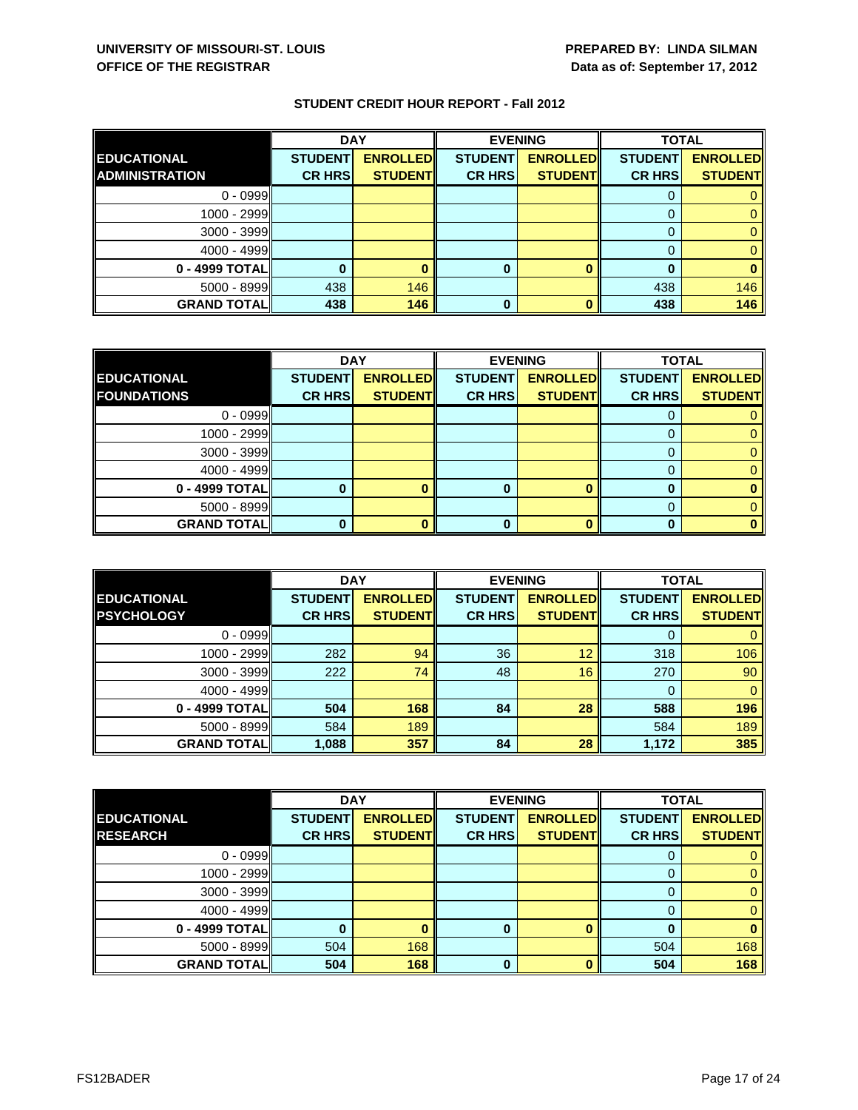|                       | <b>DAY</b>     |                 |                | <b>EVENING</b>  | <b>TOTAL</b>   |                 |
|-----------------------|----------------|-----------------|----------------|-----------------|----------------|-----------------|
| <b>EDUCATIONAL</b>    | <b>STUDENT</b> | <b>ENROLLED</b> | <b>STUDENT</b> | <b>ENROLLED</b> | <b>STUDENT</b> | <b>ENROLLED</b> |
| <b>ADMINISTRATION</b> | <b>CR HRS</b>  | <b>STUDENT</b>  | <b>CR HRS</b>  | <b>STUDENT</b>  | <b>CR HRS</b>  | <b>STUDENT</b>  |
| $0 - 0999$            |                |                 |                |                 |                |                 |
| 1000 - 2999           |                |                 |                |                 |                |                 |
| $3000 - 3999$         |                |                 |                |                 |                |                 |
| $4000 - 4999$         |                |                 |                |                 |                |                 |
| 0 - 4999 TOTAL        |                |                 | 0              |                 |                |                 |
| $5000 - 8999$         | 438            | 146             |                |                 | 438            | 146             |
| <b>GRAND TOTALI</b>   | 438            | 146             | 0              |                 | 438            | 146             |

|                    | <b>DAY</b>     |                 | <b>EVENING</b> |                 | <b>TOTAL</b>   |                 |
|--------------------|----------------|-----------------|----------------|-----------------|----------------|-----------------|
| <b>EDUCATIONAL</b> | <b>STUDENT</b> | <b>ENROLLED</b> | <b>STUDENT</b> | <b>ENROLLED</b> | <b>STUDENT</b> | <b>ENROLLED</b> |
| <b>FOUNDATIONS</b> | <b>CR HRS</b>  | <b>STUDENT</b>  | <b>CR HRS</b>  | <b>STUDENT</b>  | <b>CR HRS</b>  | <b>STUDENT</b>  |
| $0 - 0999$         |                |                 |                |                 |                |                 |
| 1000 - 2999        |                |                 |                |                 |                |                 |
| $3000 - 3999$      |                |                 |                |                 |                |                 |
| $4000 - 4999$      |                |                 |                |                 |                |                 |
| 0 - 4999 TOTAL     |                |                 | O              |                 |                |                 |
| $5000 - 8999$      |                |                 |                |                 |                |                 |
| <b>GRAND TOTAL</b> |                |                 |                |                 |                |                 |

|                    | <b>DAY</b>     |                  | <b>EVENING</b> |                 | <b>TOTAL</b>   |                 |
|--------------------|----------------|------------------|----------------|-----------------|----------------|-----------------|
| <b>EDUCATIONAL</b> | <b>STUDENT</b> | <b>ENROLLEDI</b> | <b>STUDENT</b> | <b>ENROLLED</b> | <b>STUDENT</b> | <b>ENROLLED</b> |
| <b>PSYCHOLOGY</b>  | <b>CR HRS</b>  | <b>STUDENT</b>   | <b>CR HRS</b>  | <b>STUDENT</b>  | <b>CR HRS</b>  | <b>STUDENT</b>  |
| $0 - 0999$         |                |                  |                |                 |                |                 |
| $1000 - 2999$      | 282            | 94               | 36             | 12              | 318            | 106             |
| $3000 - 3999$      | 222            | 74               | 48             | 16              | 270            | 90              |
| $4000 - 4999$      |                |                  |                |                 | 0              | 0               |
| 0 - 4999 TOTAL     | 504            | 168              | 84             | 28              | 588            | 196             |
| $5000 - 8999$      | 584            | 189              |                |                 | 584            | 189             |
| <b>GRAND TOTAL</b> | 1,088          | 357              | 84             | 28              | 1,172          | 385             |

|                    | <b>DAY</b>     |                 |                | <b>EVENING</b>  | <b>TOTAL</b>   |                 |
|--------------------|----------------|-----------------|----------------|-----------------|----------------|-----------------|
| <b>EDUCATIONAL</b> | <b>STUDENT</b> | <b>ENROLLED</b> | <b>STUDENT</b> | <b>ENROLLED</b> | <b>STUDENT</b> | <b>ENROLLED</b> |
| <b>RESEARCH</b>    | <b>CR HRS</b>  | <b>STUDENT</b>  | <b>CR HRS</b>  | <b>STUDENT</b>  | <b>CR HRS</b>  | <b>STUDENT</b>  |
| $0 - 0999$         |                |                 |                |                 | U              | 0               |
| 1000 - 2999        |                |                 |                |                 | 0              | $\mathbf{0}$    |
| $3000 - 3999$      |                |                 |                |                 | 0              | $\mathbf{0}$    |
| $4000 - 4999$      |                |                 |                |                 | 0              | $\mathbf{0}$    |
| 0 - 4999 TOTAL     |                |                 | 0              |                 | 0              | $\bf{0}$        |
| $5000 - 8999$      | 504            | 168             |                |                 | 504            | 168             |
| <b>GRAND TOTAL</b> | 504            | 168             | $\bf{0}$       | n               | 504            | 168             |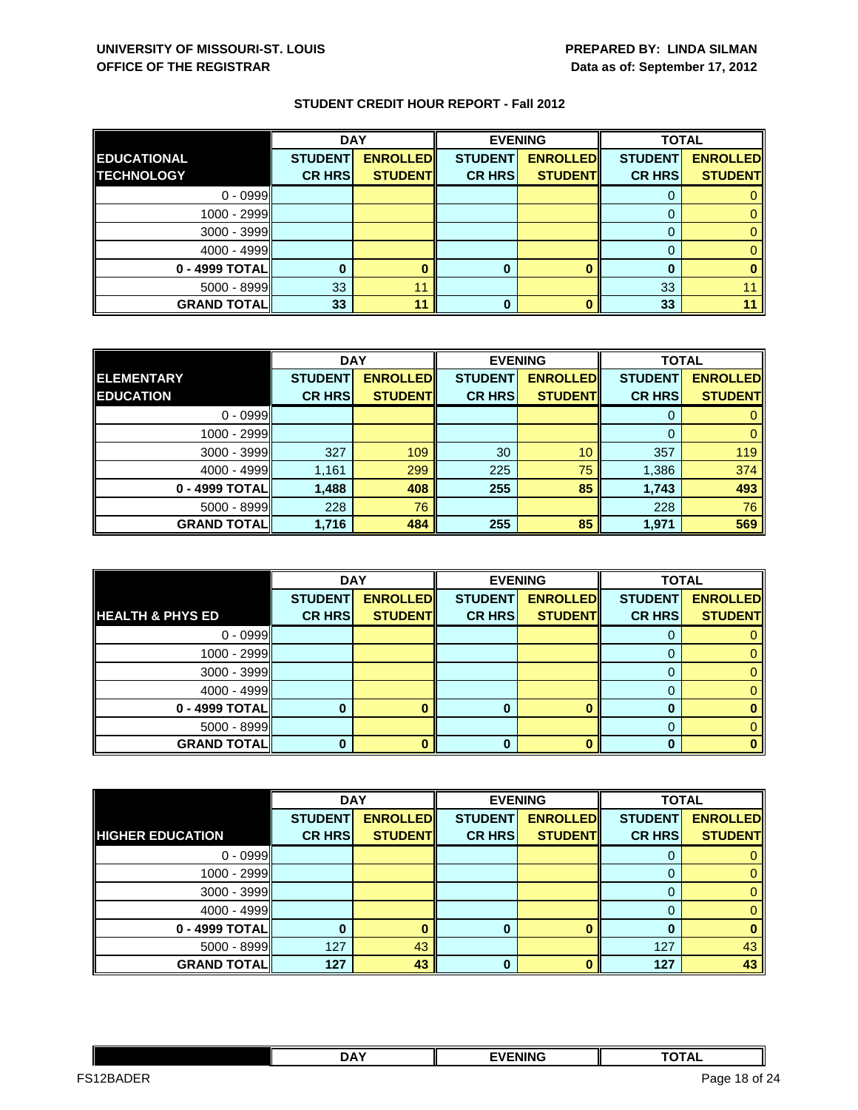|                    | <b>DAY</b>     |                 |                | <b>EVENING</b>  | <b>TOTAL</b>   |                 |
|--------------------|----------------|-----------------|----------------|-----------------|----------------|-----------------|
| <b>EDUCATIONAL</b> | <b>STUDENT</b> | <b>ENROLLED</b> | <b>STUDENT</b> | <b>ENROLLED</b> | <b>STUDENT</b> | <b>ENROLLED</b> |
| <b>TECHNOLOGY</b>  | <b>CR HRS</b>  | <b>STUDENT</b>  | <b>CR HRS</b>  | <b>STUDENT</b>  | <b>CR HRS</b>  | <b>STUDENT</b>  |
| $0 - 0999$         |                |                 |                |                 |                |                 |
| $1000 - 2999$      |                |                 |                |                 |                |                 |
| $3000 - 3999$      |                |                 |                |                 |                |                 |
| $4000 - 4999$      |                |                 |                |                 |                |                 |
| 0 - 4999 TOTAL     |                |                 | 0              |                 | O              |                 |
| $5000 - 8999$      | 33             | 11              |                |                 | 33             |                 |
| <b>GRAND TOTAL</b> | 33             | 11              | ŋ              |                 | 33             |                 |

|                    | <b>DAY</b>     |                 | <b>EVENING</b> |                  | <b>TOTAL</b>   |                 |
|--------------------|----------------|-----------------|----------------|------------------|----------------|-----------------|
| <b>ELEMENTARY</b>  | <b>STUDENT</b> | <b>ENROLLED</b> | <b>STUDENT</b> | <b>ENROLLEDI</b> | <b>STUDENT</b> | <b>ENROLLED</b> |
| <b>EDUCATION</b>   | <b>CR HRS</b>  | <b>STUDENTI</b> | <b>CR HRS</b>  | <b>STUDENTI</b>  | <b>CR HRS</b>  | <b>STUDENT</b>  |
| $0 - 0999$         |                |                 |                |                  |                |                 |
| 1000 - 2999        |                |                 |                |                  | 0              |                 |
| $3000 - 3999$      | 327            | 109             | 30             | 10               | 357            | 119             |
| $4000 - 4999$      | 1,161          | 299             | 225            | 75               | 1,386          | 374             |
| 0 - 4999 TOTAL     | 1,488          | 408             | 255            | 85               | 1,743          | 493             |
| $5000 - 8999$      | 228            | 76              |                |                  | 228            | 76              |
| <b>GRAND TOTAL</b> | 1,716          | 484             | 255            | 85               | 1,971          | 569             |

|                             | <b>DAY</b>     |                 |                | <b>EVENING</b>  | <b>TOTAL</b>   |                 |
|-----------------------------|----------------|-----------------|----------------|-----------------|----------------|-----------------|
|                             | <b>STUDENT</b> | <b>ENROLLED</b> | <b>STUDENT</b> | <b>ENROLLED</b> | <b>STUDENT</b> | <b>ENROLLED</b> |
| <b>HEALTH &amp; PHYS ED</b> | <b>CR HRS</b>  | <b>STUDENT</b>  | <b>CR HRS</b>  | <b>STUDENT</b>  | <b>CR HRS</b>  | <b>STUDENT</b>  |
| $0 - 0999$                  |                |                 |                |                 | O              |                 |
| 1000 - 2999                 |                |                 |                |                 |                |                 |
| $3000 - 3999$               |                |                 |                |                 |                |                 |
| $4000 - 4999$               |                |                 |                |                 |                |                 |
| 0 - 4999 TOTAL              |                |                 |                |                 |                |                 |
| $5000 - 8999$               |                |                 |                |                 |                |                 |
| <b>GRAND TOTAL</b>          |                |                 | 0              |                 |                |                 |

|                         | <b>DAY</b>     |                 | <b>EVENING</b> |                 | <b>TOTAL</b>   |                 |
|-------------------------|----------------|-----------------|----------------|-----------------|----------------|-----------------|
|                         | <b>STUDENT</b> | <b>ENROLLED</b> | <b>STUDENT</b> | <b>ENROLLED</b> | <b>STUDENT</b> | <b>ENROLLED</b> |
| <b>HIGHER EDUCATION</b> | <b>CR HRS</b>  | <b>STUDENT</b>  | <b>CR HRS</b>  | <b>STUDENT</b>  | <b>CR HRS</b>  | <b>STUDENT</b>  |
| $0 - 0999$              |                |                 |                |                 |                |                 |
| 1000 - 2999             |                |                 |                |                 | 0              | 0               |
| $3000 - 3999$           |                |                 |                |                 | 0              | 0               |
| $4000 - 4999$           |                |                 |                |                 |                | 0               |
| 0 - 4999 TOTAL          |                |                 | 0              |                 |                | 0               |
| $5000 - 8999$           | 127            | 43              |                |                 | 127            | 43              |
| <b>GRAND TOTAL</b>      | 127            | 43              | $\Omega$       |                 | 127            | 43              |

|           | <b>DAY</b> | <b>EVENING</b> | <b>TATA!</b><br><u>ль</u> |  |
|-----------|------------|----------------|---------------------------|--|
| ES12RADER |            |                | of 24<br>Page 18<br>- - - |  |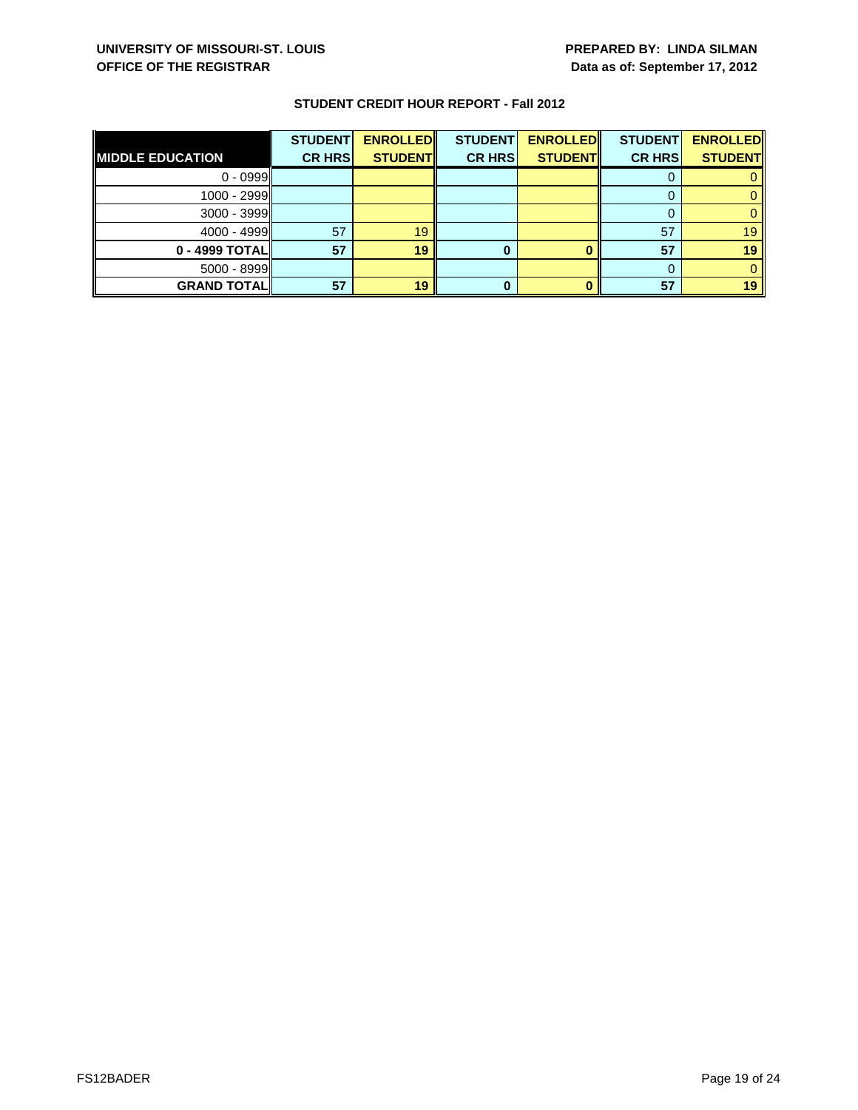|                         | <b>STUDENT</b> | <b>ENROLLED</b> | <b>STUDENT</b> | <b>ENROLLED</b> | <b>STUDENT</b> | <b>ENROLLED</b> |
|-------------------------|----------------|-----------------|----------------|-----------------|----------------|-----------------|
| <b>MIDDLE EDUCATION</b> | <b>CR HRS</b>  | <b>STUDENT</b>  | <b>CR HRS</b>  | <b>STUDENT</b>  | <b>CR HRS</b>  | <b>STUDENT</b>  |
| $0 - 0999$              |                |                 |                |                 |                |                 |
| 1000 - 2999             |                |                 |                |                 |                |                 |
| $3000 - 3999$           |                |                 |                |                 |                |                 |
| $4000 - 4999$           | 57             | 19              |                |                 | 57             | 19              |
| $0 - 4999$ TOTAL        | 57             | 19              |                |                 | 57             | 19              |
| $5000 - 8999$           |                |                 |                |                 |                |                 |
| <b>GRAND TOTAL</b>      | 57             | 19              |                |                 | 57             | 19              |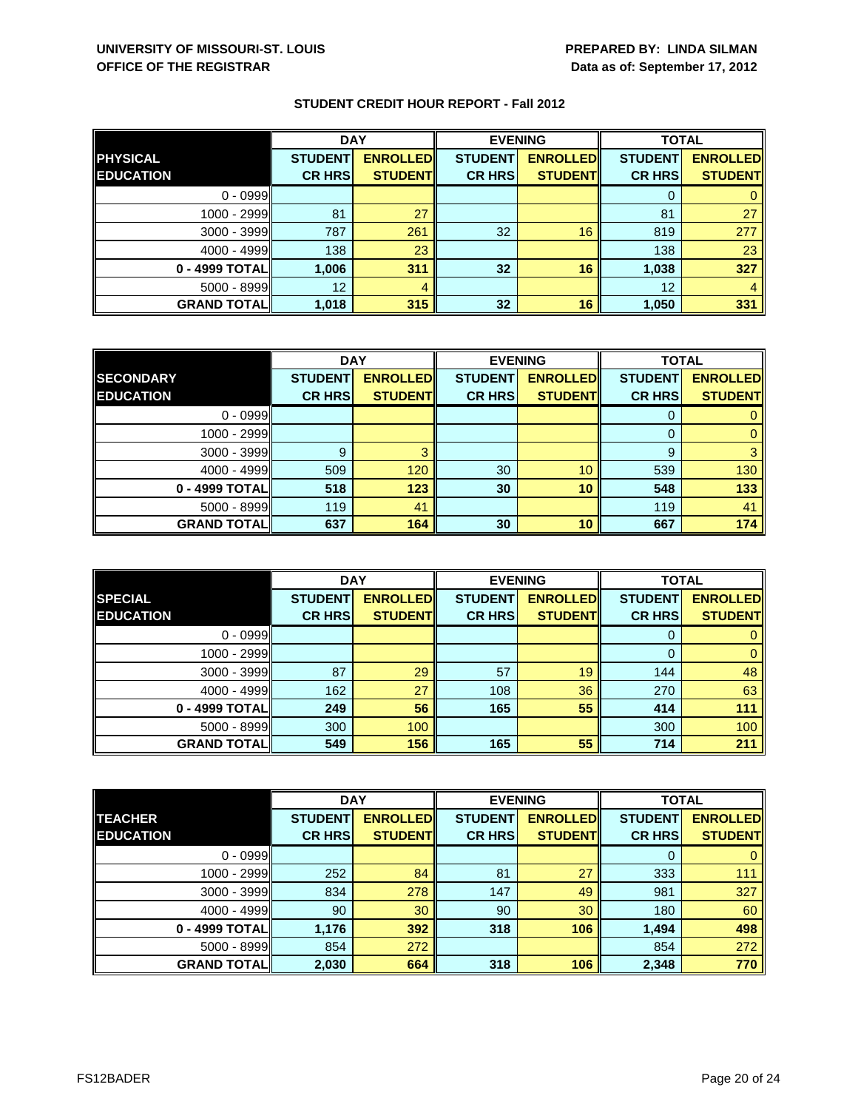|                    | <b>DAY</b>     |                 | <b>EVENING</b>  |                 | <b>TOTAL</b>   |                 |
|--------------------|----------------|-----------------|-----------------|-----------------|----------------|-----------------|
| <b>PHYSICAL</b>    | <b>STUDENT</b> | <b>ENROLLED</b> | <b>STUDENT</b>  | <b>ENROLLED</b> | <b>STUDENT</b> | <b>ENROLLED</b> |
| <b>EDUCATION</b>   | <b>CR HRS</b>  | <b>STUDENT</b>  | <b>CR HRS</b>   | <b>STUDENT</b>  | <b>CR HRS</b>  | <b>STUDENT</b>  |
| $0 - 0999$         |                |                 |                 |                 |                |                 |
| 1000 - 2999        | 81             | 27              |                 |                 | 81             | 27              |
| $3000 - 3999$      | 787            | 261             | 32 <sup>°</sup> | 16              | 819            | 277             |
| $4000 - 4999$      | 138            | 23              |                 |                 | 138            | 23              |
| 0 - 4999 TOTAL     | 1,006          | 311             | 32              | 16              | 1,038          | 327             |
| $5000 - 8999$      | 12             | 4               |                 |                 | 12             |                 |
| <b>GRAND TOTAL</b> | 1,018          | 315             | 32 <sup>°</sup> | 16              | 1,050          | 331             |

|                    | <b>DAY</b>     |                 | <b>EVENING</b> |                 | <b>TOTAL</b>   |                 |
|--------------------|----------------|-----------------|----------------|-----------------|----------------|-----------------|
| <b>SECONDARY</b>   | <b>STUDENT</b> | <b>ENROLLED</b> | <b>STUDENT</b> | <b>ENROLLED</b> | <b>STUDENT</b> | <b>ENROLLED</b> |
| <b>EDUCATION</b>   | <b>CR HRS</b>  | <b>STUDENT</b>  | <b>CR HRS</b>  | <b>STUDENT</b>  | <b>CR HRS</b>  | <b>STUDENT</b>  |
| $0 - 0999$         |                |                 |                |                 |                |                 |
| 1000 - 2999        |                |                 |                |                 |                |                 |
| 3000 - 3999        | 9              |                 |                |                 | 9              |                 |
| $4000 - 4999$      | 509            | 120             | 30             | 10              | 539            | 130             |
| 0 - 4999 TOTAL     | 518            | 123             | 30             | 10              | 548            | 133             |
| 5000 - 8999        | 119            | 41              |                |                 | 119            | 41              |
| <b>GRAND TOTAL</b> | 637            | 164             | 30             | 10              | 667            | 174             |

|                    | <b>DAY</b>     |                  | <b>EVENING</b> |                 | <b>TOTAL</b>   |                 |
|--------------------|----------------|------------------|----------------|-----------------|----------------|-----------------|
| <b>SPECIAL</b>     | <b>STUDENT</b> | <b>ENROLLEDI</b> | <b>STUDENT</b> | <b>ENROLLED</b> | <b>STUDENT</b> | <b>ENROLLED</b> |
| <b>EDUCATION</b>   | <b>CR HRS</b>  | <b>STUDENT</b>   | <b>CR HRS</b>  | <b>STUDENT</b>  | <b>CR HRS</b>  | <b>STUDENT</b>  |
| $0 - 0999$         |                |                  |                |                 |                |                 |
| $1000 - 2999$      |                |                  |                |                 | $\Omega$       | 0               |
| $3000 - 3999$      | 87             | 29               | 57             | 19              | 144            | 48              |
| $4000 - 4999$      | 162            | 27               | 108            | 36              | 270            | 63              |
| 0 - 4999 TOTAL     | 249            | 56               | 165            | 55              | 414            | 111             |
| $5000 - 8999$      | 300            | 100              |                |                 | 300            | 100             |
| <b>GRAND TOTAL</b> | 549            | 156              | 165            | 55              | 714            | 211             |

|                     | <b>DAY</b>     |                 | <b>EVENING</b> |                 | <b>TOTAL</b>   |                 |
|---------------------|----------------|-----------------|----------------|-----------------|----------------|-----------------|
| <b>TEACHER</b>      | <b>STUDENT</b> | <b>ENROLLED</b> | <b>STUDENT</b> | <b>ENROLLED</b> | <b>STUDENT</b> | <b>ENROLLED</b> |
| <b>EDUCATION</b>    | <b>CR HRS</b>  | <b>STUDENT</b>  | <b>CR HRS</b>  | <b>STUDENT</b>  | <b>CR HRS</b>  | <b>STUDENT</b>  |
| $0 - 0999$          |                |                 |                |                 | 0              | $\mathbf{0}$    |
| 1000 - 2999         | 252            | 84              | 81             | 27              | 333            | 111             |
| $3000 - 3999$       | 834            | 278             | 147            | 49              | 981            | 327             |
| $4000 - 4999$       | 90             | 30              | 90             | 30              | 180            | 60              |
| 0 - 4999 TOTAL      | 1,176          | 392             | 318            | 106             | 1,494          | 498             |
| $5000 - 8999$       | 854            | 272             |                |                 | 854            | 272             |
| <b>GRAND TOTALI</b> | 2,030          | 664             | 318            | 106             | 2,348          | 770             |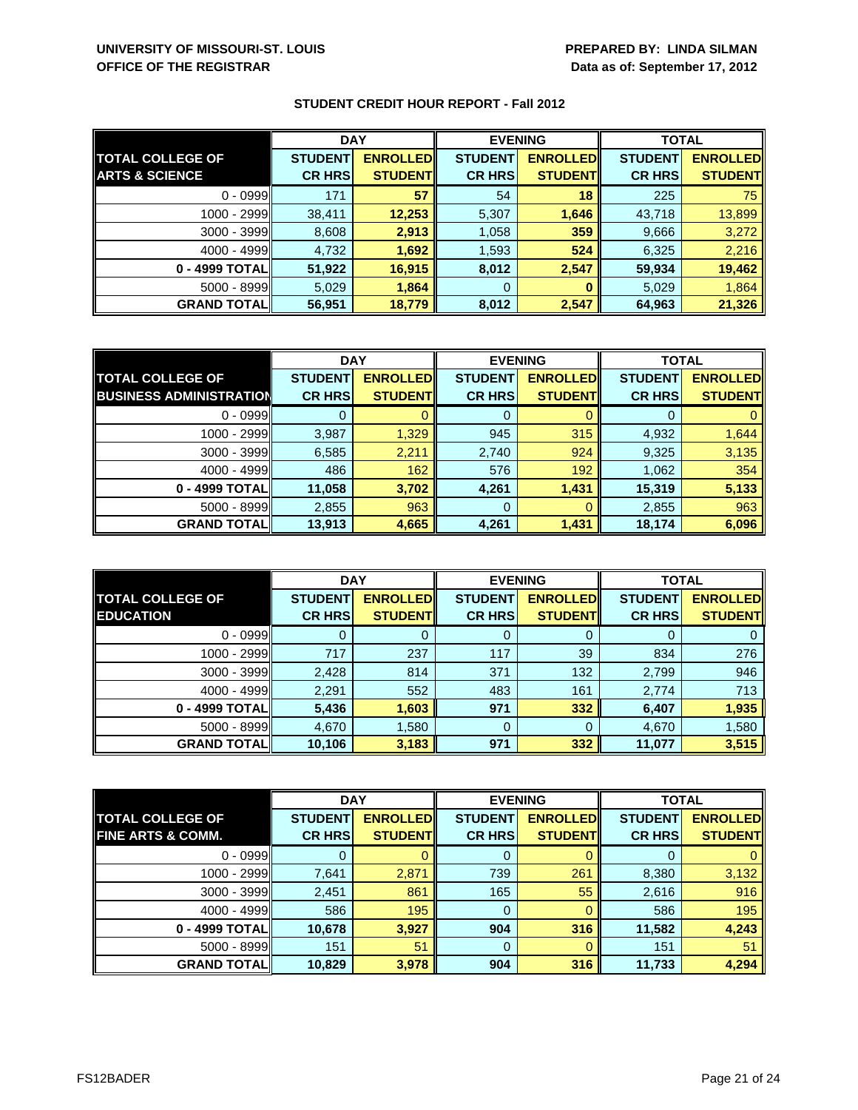|                           | <b>DAY</b>     |                 | <b>EVENING</b> |                  | <b>TOTAL</b>   |                 |
|---------------------------|----------------|-----------------|----------------|------------------|----------------|-----------------|
| <b>TOTAL COLLEGE OF</b>   | <b>STUDENT</b> | <b>ENROLLED</b> | <b>STUDENT</b> | <b>ENROLLEDI</b> | <b>STUDENT</b> | <b>ENROLLED</b> |
| <b>ARTS &amp; SCIENCE</b> | <b>CR HRS</b>  | <b>STUDENT</b>  | <b>CR HRS</b>  | <b>STUDENT</b>   | <b>CR HRS</b>  | <b>STUDENT</b>  |
| $0 - 0999$                | 171            | 57              | 54             | 18               | 225            | 75              |
| 1000 - 2999               | 38,411         | 12,253          | 5,307          | 1,646            | 43,718         | 13,899          |
| $3000 - 3999$             | 8,608          | 2,913           | 1,058          | 359              | 9,666          | 3,272           |
| $4000 - 4999$             | 4,732          | 1,692           | 1,593          | 524              | 6,325          | 2,216           |
| 0 - 4999 TOTAL            | 51,922         | 16,915          | 8,012          | 2,547            | 59,934         | 19,462          |
| 5000 - 8999               | 5,029          | 1,864           | 0              |                  | 5,029          | 1,864           |
| <b>GRAND TOTALI</b>       | 56,951         | 18,779          | 8,012          | 2,547            | 64,963         | 21,326          |

|                                | <b>DAY</b>     |                 | <b>EVENING</b> |                 | <b>TOTAL</b>   |                 |
|--------------------------------|----------------|-----------------|----------------|-----------------|----------------|-----------------|
| <b>TOTAL COLLEGE OF</b>        | <b>STUDENT</b> | <b>ENROLLED</b> | <b>STUDENT</b> | <b>ENROLLED</b> | <b>STUDENT</b> | <b>ENROLLED</b> |
| <b>BUSINESS ADMINISTRATION</b> | <b>CR HRS</b>  | <b>STUDENT</b>  | <b>CR HRS</b>  | <b>STUDENTI</b> | <b>CR HRS</b>  | <b>STUDENT</b>  |
| $0 - 0999$                     |                |                 | 0              |                 |                |                 |
| 1000 - 2999                    | 3,987          | 1,329           | 945            | 315             | 4,932          | 1,644           |
| $3000 - 3999$                  | 6,585          | 2,211           | 2,740          | 924             | 9,325          | 3,135           |
| $4000 - 4999$                  | 486            | 162             | 576            | 192             | 1,062          | 354             |
| 0 - 4999 TOTAL                 | 11,058         | 3,702           | 4,261          | 1,431           | 15,319         | 5,133           |
| 5000 - 8999                    | 2,855          | 963             | 0              |                 | 2,855          | 963             |
| <b>GRAND TOTAL</b>             | 13,913         | 4,665           | 4,261          | 1,431           | 18,174         | 6,096           |

|                                             | <b>DAY</b>                      |                                   | <b>EVENING</b>                  |                                   | <b>TOTAL</b>                    |                                   |
|---------------------------------------------|---------------------------------|-----------------------------------|---------------------------------|-----------------------------------|---------------------------------|-----------------------------------|
| <b>TOTAL COLLEGE OF</b><br><b>EDUCATION</b> | <b>STUDENT</b><br><b>CR HRS</b> | <b>ENROLLED</b><br><b>STUDENT</b> | <b>STUDENT</b><br><b>CR HRS</b> | <b>ENROLLED</b><br><b>STUDENT</b> | <b>STUDENT</b><br><b>CR HRS</b> | <b>ENROLLED</b><br><b>STUDENT</b> |
| $0 - 0999$                                  |                                 |                                   | Ü                               | Ü                                 | U                               |                                   |
| 1000 - 2999                                 | 717                             | 237                               | 117                             | 39                                | 834                             | 276                               |
| $3000 - 3999$                               | 2,428                           | 814                               | 371                             | 132                               | 2,799                           | 946                               |
| $4000 - 4999$                               | 2,291                           | 552                               | 483                             | 161                               | 2,774                           | 713                               |
| 0 - 4999 TOTAL                              | 5,436                           | 1,603                             | 971                             | 332                               | 6,407                           | 1,935                             |
| $5000 - 8999$                               | 4,670                           | 1,580                             | 0                               | 0                                 | 4,670                           | 1,580                             |
| <b>GRAND TOTALI</b>                         | 10,106                          | 3,183                             | 971                             | 332                               | 11,077                          | 3,515                             |

|                              | <b>DAY</b>     |                 | <b>EVENING</b> |                 | <b>TOTAL</b>   |                 |
|------------------------------|----------------|-----------------|----------------|-----------------|----------------|-----------------|
| <b>TOTAL COLLEGE OF</b>      | <b>STUDENT</b> | <b>ENROLLED</b> | <b>STUDENT</b> | <b>ENROLLED</b> | <b>STUDENT</b> | <b>ENROLLED</b> |
| <b>FINE ARTS &amp; COMM.</b> | <b>CR HRS</b>  | <b>STUDENT</b>  | <b>CR HRS</b>  | <b>STUDENT</b>  | <b>CR HRS</b>  | <b>STUDENT</b>  |
| $0 - 0999$                   |                |                 | 0              |                 | U              | $\mathbf{0}$    |
| 1000 - 2999                  | 7,641          | 2,871           | 739            | 261             | 8,380          | 3,132           |
| $3000 - 3999$                | 2,451          | 861             | 165            | 55              | 2,616          | 916             |
| $4000 - 4999$                | 586            | 195             | 0              |                 | 586            | 195             |
| 0 - 4999 TOTAL               | 10,678         | 3,927           | 904            | 316             | 11,582         | 4,243           |
| $5000 - 8999$                | 151            | 51              | 0              |                 | 151            | 51              |
| <b>GRAND TOTALI</b>          | 10,829         | 3,978           | 904            | 316             | 11,733         | 4,294           |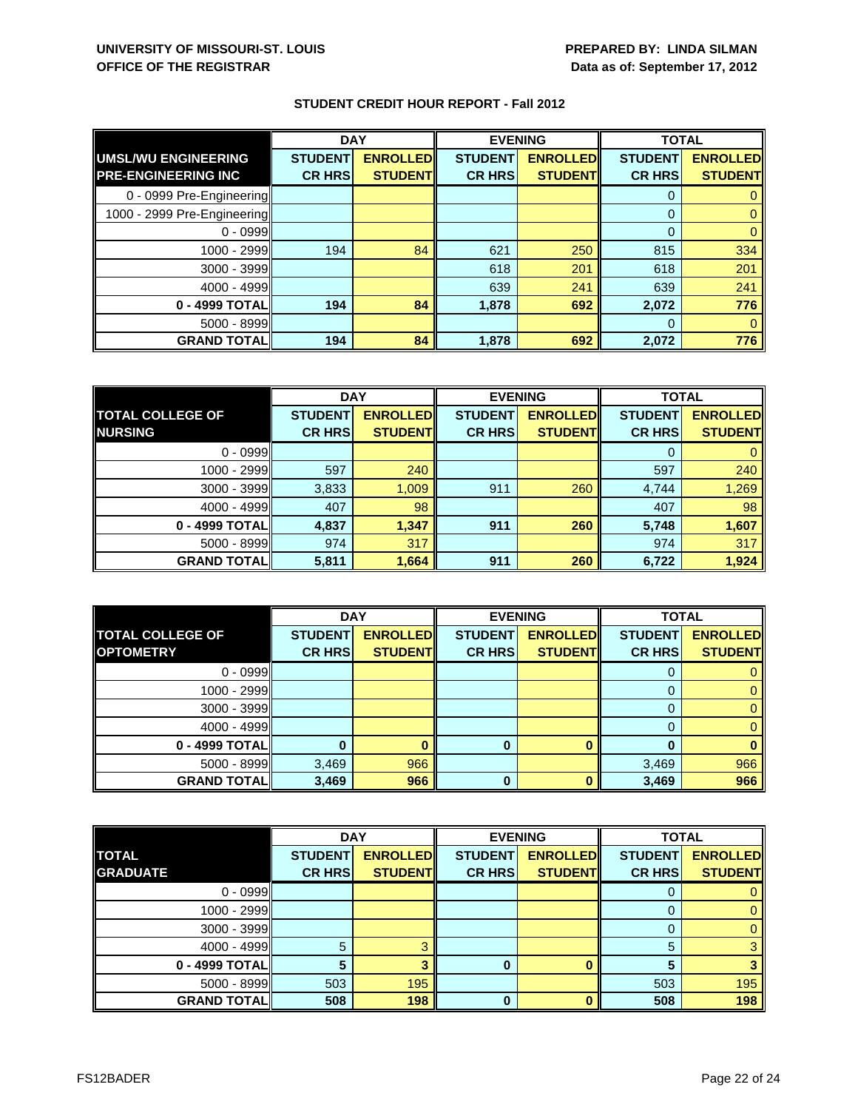|                             | <b>DAY</b>     |                 | <b>EVENING</b> |                 | <b>TOTAL</b>   |                 |
|-----------------------------|----------------|-----------------|----------------|-----------------|----------------|-----------------|
| <b>UMSL/WU ENGINEERING</b>  | <b>STUDENT</b> | <b>ENROLLED</b> | <b>STUDENT</b> | <b>ENROLLED</b> | <b>STUDENT</b> | <b>ENROLLED</b> |
| <b>PRE-ENGINEERING INC</b>  | <b>CR HRS</b>  | <b>STUDENT</b>  | <b>CR HRS</b>  | <b>STUDENT</b>  | <b>CR HRS</b>  | <b>STUDENT</b>  |
| 0 - 0999 Pre-Engineering    |                |                 |                |                 | 0              |                 |
| 1000 - 2999 Pre-Engineering |                |                 |                |                 | $\mathbf{0}$   |                 |
| $0 - 0999$                  |                |                 |                |                 | $\mathbf 0$    |                 |
| 1000 - 2999                 | 194            | 84              | 621            | 250             | 815            | 334             |
| 3000 - 3999                 |                |                 | 618            | 201             | 618            | 201             |
| 4000 - 4999                 |                |                 | 639            | 241             | 639            | 241             |
| 0 - 4999 TOTAL              | 194            | 84              | 1,878          | 692             | 2,072          | 776             |
| $5000 - 8999$               |                |                 |                |                 | 0              |                 |
| <b>GRAND TOTAL</b>          | 194            | 84              | 1,878          | 692             | 2,072          | 776             |

|                         | <b>DAY</b>     |                 | <b>EVENING</b> |                 | <b>TOTAL</b>   |                 |
|-------------------------|----------------|-----------------|----------------|-----------------|----------------|-----------------|
| <b>TOTAL COLLEGE OF</b> | <b>STUDENT</b> | <b>ENROLLED</b> | <b>STUDENT</b> | <b>ENROLLED</b> | <b>STUDENT</b> | <b>ENROLLED</b> |
| <b>NURSING</b>          | <b>CR HRS</b>  | <b>STUDENT</b>  | <b>CR HRS</b>  | <b>STUDENT</b>  | <b>CR HRS</b>  | <b>STUDENT</b>  |
| $0 - 0999$              |                |                 |                |                 |                |                 |
| 1000 - 2999             | 597            | 240             |                |                 | 597            | 240             |
| $3000 - 3999$           | 3,833          | 1,009           | 911            | 260             | 4,744          | 1,269           |
| $4000 - 4999$           | 407            | 98              |                |                 | 407            | 98              |
| 0 - 4999 TOTAL          | 4,837          | 1,347           | 911            | 260             | 5,748          | 1,607           |
| $5000 - 8999$           | 974            | 317             |                |                 | 974            | 317             |
| <b>GRAND TOTAL</b>      | 5,811          | 1,664           | 911            | 260             | 6,722          | 1,924           |

|                         | <b>DAY</b>     |                 | <b>EVENING</b> |                 | <b>TOTAL</b>   |                 |
|-------------------------|----------------|-----------------|----------------|-----------------|----------------|-----------------|
| <b>TOTAL COLLEGE OF</b> | <b>STUDENT</b> | <b>ENROLLED</b> | <b>STUDENT</b> | <b>ENROLLED</b> | <b>STUDENT</b> | <b>ENROLLED</b> |
| <b>OPTOMETRY</b>        | <b>CR HRS</b>  | <b>STUDENT</b>  | <b>CR HRS</b>  | <b>STUDENT</b>  | <b>CR HRS</b>  | <b>STUDENT</b>  |
| $0 - 0999$              |                |                 |                |                 |                |                 |
| 1000 - 2999             |                |                 |                |                 |                |                 |
| 3000 - 3999             |                |                 |                |                 |                |                 |
| $4000 - 4999$           |                |                 |                |                 |                |                 |
| 0 - 4999 TOTAL          |                |                 | 0              |                 |                |                 |
| $5000 - 8999$           | 3,469          | 966             |                |                 | 3,469          | 966             |
| <b>GRAND TOTAL</b>      | 3,469          | 966             | 0              |                 | 3,469          | 966             |

|                    | <b>DAY</b>     |                 | <b>EVENING</b> |                 | <b>TOTAL</b>   |                 |
|--------------------|----------------|-----------------|----------------|-----------------|----------------|-----------------|
| <b>TOTAL</b>       | <b>STUDENT</b> | <b>ENROLLED</b> | <b>STUDENT</b> | <b>ENROLLED</b> | <b>STUDENT</b> | <b>ENROLLED</b> |
| <b>GRADUATE</b>    | <b>CR HRS</b>  | <b>STUDENTI</b> | <b>CR HRS</b>  | <b>STUDENT</b>  | <b>CR HRS</b>  | <b>STUDENT</b>  |
| $0 - 0999$         |                |                 |                |                 |                |                 |
| 1000 - 2999        |                |                 |                |                 |                |                 |
| 3000 - 3999        |                |                 |                |                 |                |                 |
| $4000 - 4999$      | 5              |                 |                |                 | 5              |                 |
| 0 - 4999 TOTAL     |                |                 | 0              |                 |                |                 |
| $5000 - 8999$      | 503            | 195             |                |                 | 503            | 195             |
| <b>GRAND TOTAL</b> | 508            | 198             | 0              |                 | 508            | 198             |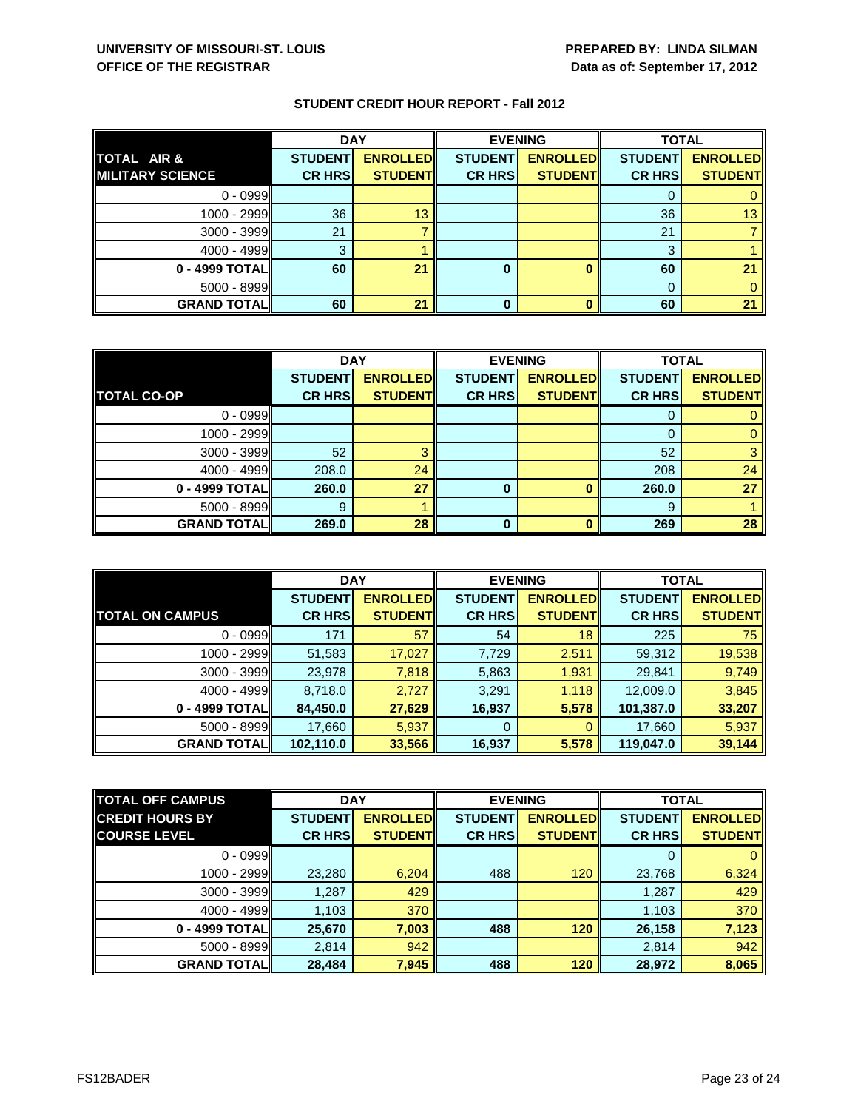|                         | <b>DAY</b>     |                 |                | <b>EVENING</b>  | <b>TOTAL</b>   |                 |
|-------------------------|----------------|-----------------|----------------|-----------------|----------------|-----------------|
| TOTAL AIR &             | <b>STUDENT</b> | <b>ENROLLED</b> | <b>STUDENT</b> | <b>ENROLLED</b> | <b>STUDENT</b> | <b>ENROLLED</b> |
| <b>MILITARY SCIENCE</b> | <b>CR HRS</b>  | <b>STUDENT</b>  | <b>CR HRS</b>  | <b>STUDENT</b>  | <b>CR HRS</b>  | <b>STUDENT</b>  |
| $0 - 0999$              |                |                 |                |                 |                |                 |
| 1000 - 2999             | 36             | 13              |                |                 | 36             | 13.             |
| 3000 - 3999             | 21             |                 |                |                 | 21             |                 |
| $4000 - 4999$           | 3              |                 |                |                 | 3              |                 |
| 0 - 4999 TOTAL          | 60             | 21              | 0              |                 | 60             | 21              |
| 5000 - 8999             |                |                 |                |                 |                |                 |
| <b>GRAND TOTALI</b>     | 60             | 21              |                |                 | 60             | 21              |

|                    | <b>DAY</b>     |                 | <b>EVENING</b> |                 | <b>TOTAL</b>   |                 |
|--------------------|----------------|-----------------|----------------|-----------------|----------------|-----------------|
|                    | <b>STUDENT</b> | <b>ENROLLED</b> | <b>STUDENT</b> | <b>ENROLLED</b> | <b>STUDENT</b> | <b>ENROLLED</b> |
| <b>TOTAL CO-OP</b> | <b>CR HRS</b>  | <b>STUDENT</b>  | <b>CR HRS</b>  | <b>STUDENT</b>  | <b>CR HRS</b>  | <b>STUDENT</b>  |
| $0 - 0999$         |                |                 |                |                 |                |                 |
| $1000 - 2999$      |                |                 |                |                 | 0              |                 |
| $3000 - 3999$      | 52             |                 |                |                 | 52             |                 |
| $4000 - 4999$      | 208.0          | 24              |                |                 | 208            | 24              |
| 0 - 4999 TOTAL     | 260.0          | 27              | 0              |                 | 260.0          | 27              |
| $5000 - 8999$      | 9              |                 |                |                 | 9              |                 |
| <b>GRAND TOTAL</b> | 269.0          | 28              | O              |                 | 269            | 28              |

|                        | <b>DAY</b>     |                  | <b>EVENING</b> |                 | <b>TOTAL</b>   |                 |
|------------------------|----------------|------------------|----------------|-----------------|----------------|-----------------|
|                        | <b>STUDENT</b> | <b>ENROLLEDI</b> | <b>STUDENT</b> | <b>ENROLLED</b> | <b>STUDENT</b> | <b>ENROLLED</b> |
| <b>TOTAL ON CAMPUS</b> | <b>CR HRS</b>  | <b>STUDENT</b>   | <b>CR HRS</b>  | <b>STUDENT</b>  | <b>CR HRS</b>  | <b>STUDENT</b>  |
| $0 - 0999$             | 171            | 57               | 54             | 18              | 225            | 75              |
| $1000 - 2999$          | 51,583         | 17,027           | 7,729          | 2,511           | 59,312         | 19,538          |
| $3000 - 3999$          | 23,978         | 7,818            | 5,863          | 1,931           | 29,841         | 9,749           |
| $4000 - 4999$          | 8,718.0        | 2,727            | 3,291          | 1,118           | 12,009.0       | 3,845           |
| 0 - 4999 TOTAL         | 84,450.0       | 27,629           | 16,937         | 5,578           | 101,387.0      | 33,207          |
| $5000 - 8999$          | 17,660         | 5,937            | 0              | $\Omega$        | 17,660         | 5,937           |
| <b>GRAND TOTALI</b>    | 102,110.0      | 33,566           | 16,937         | 5,578           | 119,047.0      | 39,144          |

| <b>TOTAL OFF CAMPUS</b> | <b>DAY</b>     |                 | <b>EVENING</b> |                 | <b>TOTAL</b>   |                 |
|-------------------------|----------------|-----------------|----------------|-----------------|----------------|-----------------|
| <b>CREDIT HOURS BY</b>  | <b>STUDENT</b> | <b>ENROLLED</b> | <b>STUDENT</b> | <b>ENROLLED</b> | <b>STUDENT</b> | <b>ENROLLED</b> |
| <b>COURSE LEVEL</b>     | <b>CR HRS</b>  | <b>STUDENTI</b> | <b>CR HRS</b>  | <b>STUDENT</b>  | <b>CR HRS</b>  | <b>STUDENT</b>  |
| $0 - 0999$              |                |                 |                |                 |                |                 |
| $1000 - 2999$           | 23,280         | 6,204           | 488            | 120             | 23,768         | 6,324           |
| $3000 - 3999$           | 1,287          | 429             |                |                 | 1,287          | 429             |
| $4000 - 4999$           | 1,103          | 370             |                |                 | 1,103          | 370             |
| 0 - 4999 TOTAL          | 25,670         | 7,003           | 488            | 120             | 26,158         | 7,123           |
| $5000 - 8999$           | 2,814          | 942             |                |                 | 2,814          | 942             |
| <b>GRAND TOTAL</b>      | 28,484         | 7,945           | 488            | 120             | 28,972         | 8,065           |